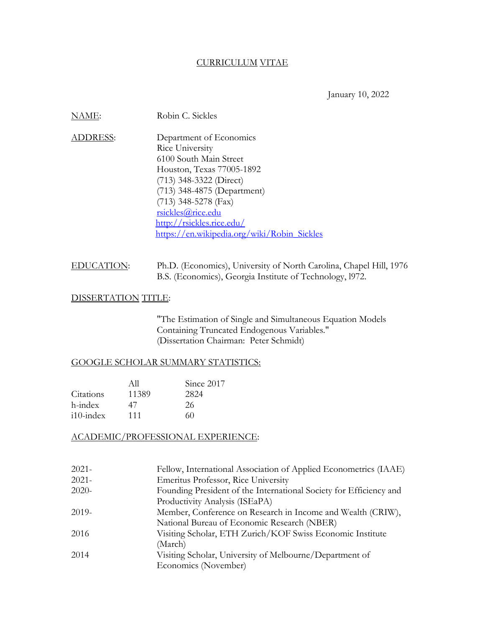#### CURRICULUM VITAE

January 10, 2022

| NAME:           | Robin C. Sickles                            |
|-----------------|---------------------------------------------|
| <b>ADDRESS:</b> | Department of Economics                     |
|                 | Rice University                             |
|                 | 6100 South Main Street                      |
|                 | Houston, Texas 77005-1892                   |
|                 | $(713)$ 348-3322 (Direct)                   |
|                 | (713) 348-4875 (Department)                 |
|                 | $(713)$ 348-5278 (Fax)                      |
|                 | rsickles@rice.edu                           |
|                 | http://rsickles.rice.edu/                   |
|                 | https://en.wikipedia.org/wiki/Robin Sickles |

# EDUCATION: Ph.D. (Economics), University of North Carolina, Chapel Hill, 1976 B.S. (Economics), Georgia Institute of Technology, l972.

#### DISSERTATION TITLE:

"The Estimation of Single and Simultaneous Equation Models Containing Truncated Endogenous Variables." (Dissertation Chairman: Peter Schmidt)

#### GOOGLE SCHOLAR SUMMARY STATISTICS:

|              | All   | Since 2017 |
|--------------|-------|------------|
| Citations    | 11389 | 2824       |
| h-index      | 47    | 26         |
| $i10$ -index | 111   | 60         |

## ACADEMIC/PROFESSIONAL EXPERIENCE:

| $2021 -$ | Fellow, International Association of Applied Econometrics (IAAE)   |
|----------|--------------------------------------------------------------------|
| $2021 -$ | <b>Emeritus Professor, Rice University</b>                         |
| $2020 -$ | Founding President of the International Society for Efficiency and |
|          | Productivity Analysis (ISEaPA)                                     |
| $2019-$  | Member, Conference on Research in Income and Wealth (CRIW),        |
|          | National Bureau of Economic Research (NBER)                        |
| 2016     | Visiting Scholar, ETH Zurich/KOF Swiss Economic Institute          |
|          | (March)                                                            |
| 2014     | Visiting Scholar, University of Melbourne/Department of            |
|          | Economics (November)                                               |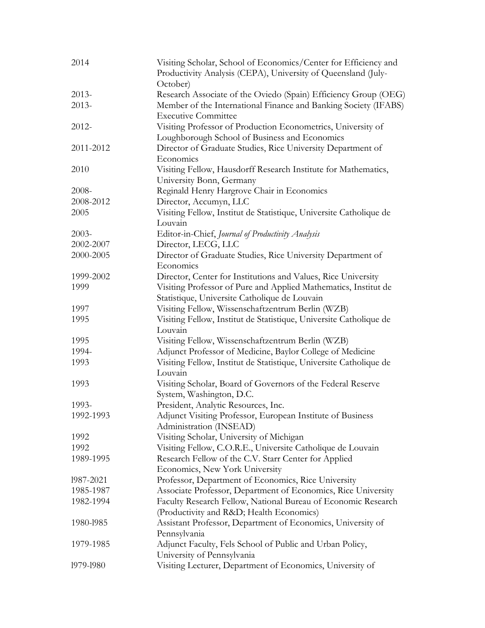| 2014      | Visiting Scholar, School of Economics/Center for Efficiency and<br>Productivity Analysis (CEPA), University of Queensland (July- |
|-----------|----------------------------------------------------------------------------------------------------------------------------------|
| $2013-$   | October)<br>Research Associate of the Oviedo (Spain) Efficiency Group (OEG)                                                      |
| $2013-$   | Member of the International Finance and Banking Society (IFABS)                                                                  |
|           | <b>Executive Committee</b>                                                                                                       |
| 2012-     | Visiting Professor of Production Econometrics, University of                                                                     |
|           | Loughborough School of Business and Economics                                                                                    |
| 2011-2012 | Director of Graduate Studies, Rice University Department of<br>Economics                                                         |
| 2010      | Visiting Fellow, Hausdorff Research Institute for Mathematics,                                                                   |
|           | University Bonn, Germany                                                                                                         |
| 2008-     | Reginald Henry Hargrove Chair in Economics                                                                                       |
| 2008-2012 | Director, Accumyn, LLC                                                                                                           |
| 2005      | Visiting Fellow, Institut de Statistique, Universite Catholique de<br>Louvain                                                    |
| $2003 -$  | Editor-in-Chief, Journal of Productivity Analysis                                                                                |
| 2002-2007 | Director, LECG, LLC                                                                                                              |
| 2000-2005 | Director of Graduate Studies, Rice University Department of                                                                      |
|           | Economics                                                                                                                        |
| 1999-2002 | Director, Center for Institutions and Values, Rice University                                                                    |
| 1999      | Visiting Professor of Pure and Applied Mathematics, Institut de                                                                  |
|           | Statistique, Universite Catholique de Louvain                                                                                    |
| 1997      | Visiting Fellow, Wissenschaftzentrum Berlin (WZB)                                                                                |
| 1995      | Visiting Fellow, Institut de Statistique, Universite Catholique de<br>Louvain                                                    |
| 1995      | Visiting Fellow, Wissenschaftzentrum Berlin (WZB)                                                                                |
| 1994-     | Adjunct Professor of Medicine, Baylor College of Medicine                                                                        |
| 1993      | Visiting Fellow, Institut de Statistique, Universite Catholique de                                                               |
|           | Louvain                                                                                                                          |
| 1993      | Visiting Scholar, Board of Governors of the Federal Reserve                                                                      |
|           | System, Washington, D.C.                                                                                                         |
| 1993-     | President, Analytic Resources, Inc.                                                                                              |
| 1992-1993 | Adjunct Visiting Professor, European Institute of Business                                                                       |
|           | Administration (INSEAD)                                                                                                          |
| 1992      | Visiting Scholar, University of Michigan                                                                                         |
| 1992      | Visiting Fellow, C.O.R.E., Universite Catholique de Louvain                                                                      |
| 1989-1995 | Research Fellow of the C.V. Starr Center for Applied                                                                             |
|           | Economics, New York University                                                                                                   |
| 1987-2021 | Professor, Department of Economics, Rice University                                                                              |
| 1985-1987 | Associate Professor, Department of Economics, Rice University                                                                    |
| 1982-1994 | Faculty Research Fellow, National Bureau of Economic Research                                                                    |
|           | (Productivity and R&D Health Economics)                                                                                          |
| 1980-1985 | Assistant Professor, Department of Economics, University of                                                                      |
|           | Pennsylvania                                                                                                                     |
| 1979-1985 | Adjunct Faculty, Fels School of Public and Urban Policy,                                                                         |
|           | University of Pennsylvania                                                                                                       |
| 1979-1980 | Visiting Lecturer, Department of Economics, University of                                                                        |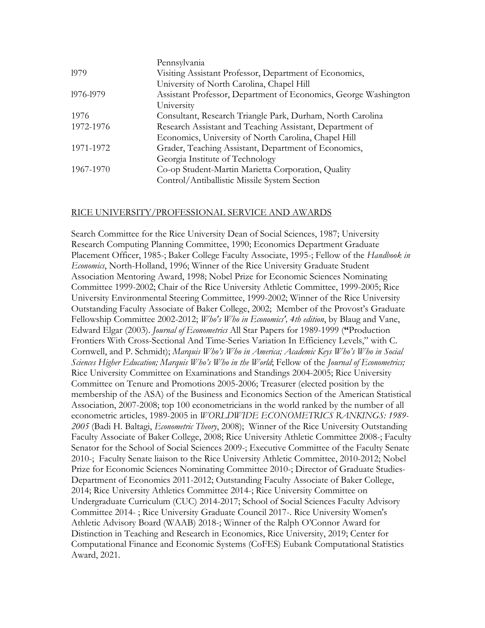| Pennsylvania                                                    |
|-----------------------------------------------------------------|
| Visiting Assistant Professor, Department of Economics,          |
| University of North Carolina, Chapel Hill                       |
| Assistant Professor, Department of Economics, George Washington |
| University                                                      |
| Consultant, Research Triangle Park, Durham, North Carolina      |
| Research Assistant and Teaching Assistant, Department of        |
| Economics, University of North Carolina, Chapel Hill            |
| Grader, Teaching Assistant, Department of Economics,            |
| Georgia Institute of Technology                                 |
| Co-op Student-Martin Marietta Corporation, Quality              |
| Control/Antiballistic Missile System Section                    |
|                                                                 |

### RICE UNIVERSITY/PROFESSIONAL SERVICE AND AWARDS

Search Committee for the Rice University Dean of Social Sciences, 1987; University Research Computing Planning Committee, 1990; Economics Department Graduate Placement Officer, 1985-; Baker College Faculty Associate, 1995-; Fellow of the *Handbook in Economics*, North-Holland, 1996; Winner of the Rice University Graduate Student Association Mentoring Award, 1998; Nobel Prize for Economic Sciences Nominating Committee 1999-2002; Chair of the Rice University Athletic Committee, 1999-2005; Rice University Environmental Steering Committee, 1999-2002; Winner of the Rice University Outstanding Faculty Associate of Baker College, 2002; Member of the Provost's Graduate Fellowship Committee 2002-2012; *Who's Who in Economics', 4th edition*, by Blaug and Vane, Edward Elgar (2003). *Journal of Econometrics* All Star Papers for 1989-1999 (**"**Production Frontiers With Cross-Sectional And Time-Series Variation In Efficiency Levels," with C. Cornwell, and P. Schmidt); *Marquis Who's Who in America; Academic Keys Who's Who in Social Sciences Higher Education; Marquis Who's Who in the World*; Fellow of the *Journal of Econometrics;*  Rice University Committee on Examinations and Standings 2004-2005; Rice University Committee on Tenure and Promotions 2005-2006; Treasurer (elected position by the membership of the ASA) of the Business and Economics Section of the American Statistical Association, 2007-2008; top 100 econometricians in the world ranked by the number of all econometric articles, 1989-2005 in *WORLDWIDE ECONOMETRICS RANKINGS: 1989- 2005* (Badi H. Baltagi, *Econometric Theory*, 2008); Winner of the Rice University Outstanding Faculty Associate of Baker College, 2008; Rice University Athletic Committee 2008-; Faculty Senator for the School of Social Sciences 2009-; Executive Committee of the Faculty Senate 2010-; Faculty Senate liaison to the Rice University Athletic Committee, 2010-2012; Nobel Prize for Economic Sciences Nominating Committee 2010-; Director of Graduate Studies-Department of Economics 2011-2012; Outstanding Faculty Associate of Baker College, 2014; Rice University Athletics Committee 2014-; Rice University Committee on Undergraduate Curriculum (CUC) 2014-2017; School of Social Sciences Faculty Advisory Committee 2014- ; Rice University Graduate Council 2017-. Rice University Women's Athletic Advisory Board (WAAB) 2018-; Winner of the Ralph O'Connor Award for Distinction in Teaching and Research in Economics, Rice University, 2019; Center for Computational Finance and Economic Systems (CoFES) Eubank Computational Statistics Award, 2021.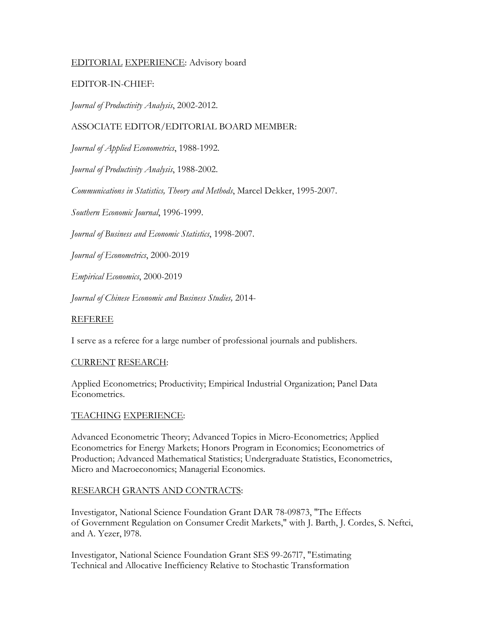## EDITORIAL EXPERIENCE: Advisory board

## EDITOR-IN-CHIEF:

*Journal of Productivity Analysis*, 2002-2012.

## ASSOCIATE EDITOR/EDITORIAL BOARD MEMBER:

*Journal of Applied Econometrics*, 1988-1992.

*Journal of Productivity Analysis*, 1988-2002.

*Communications in Statistics, Theory and Methods*, Marcel Dekker, 1995-2007.

*Southern Economic Journal*, 1996-1999.

*Journal of Business and Economic Statistics*, 1998-2007.

*Journal of Econometrics*, 2000-2019

*Empirical Economics*, 2000-2019

*Journal of Chinese Economic and Business Studies,* 2014-

### REFEREE

I serve as a referee for a large number of professional journals and publishers.

#### CURRENT RESEARCH:

Applied Econometrics; Productivity; Empirical Industrial Organization; Panel Data Econometrics.

#### TEACHING EXPERIENCE:

Advanced Econometric Theory; Advanced Topics in Micro-Econometrics; Applied Econometrics for Energy Markets; Honors Program in Economics; Econometrics of Production; Advanced Mathematical Statistics; Undergraduate Statistics, Econometrics, Micro and Macroeconomics; Managerial Economics.

## RESEARCH GRANTS AND CONTRACTS:

Investigator, National Science Foundation Grant DAR 78-09873, "The Effects of Government Regulation on Consumer Credit Markets," with J. Barth, J. Cordes, S. Neftci, and A. Yezer, l978.

Investigator, National Science Foundation Grant SES 99-267l7, "Estimating Technical and Allocative Inefficiency Relative to Stochastic Transformation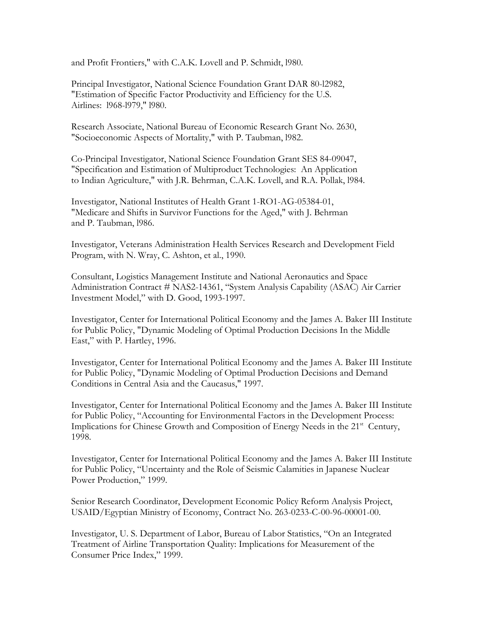and Profit Frontiers," with C.A.K. Lovell and P. Schmidt, l980.

Principal Investigator, National Science Foundation Grant DAR 80-l2982, "Estimation of Specific Factor Productivity and Efficiency for the U.S. Airlines: l968-l979," l980.

Research Associate, National Bureau of Economic Research Grant No. 2630, "Socioeconomic Aspects of Mortality," with P. Taubman, l982.

Co-Principal Investigator, National Science Foundation Grant SES 84-09047, "Specification and Estimation of Multiproduct Technologies: An Application to Indian Agriculture," with J.R. Behrman, C.A.K. Lovell, and R.A. Pollak, l984.

Investigator, National Institutes of Health Grant 1-RO1-AG-05384-01, "Medicare and Shifts in Survivor Functions for the Aged," with J. Behrman and P. Taubman, l986.

Investigator, Veterans Administration Health Services Research and Development Field Program, with N. Wray, C. Ashton, et al., 1990.

Consultant, Logistics Management Institute and National Aeronautics and Space Administration Contract # NAS2-14361, "System Analysis Capability (ASAC) Air Carrier Investment Model," with D. Good, 1993-1997.

Investigator, Center for International Political Economy and the James A. Baker III Institute for Public Policy, "Dynamic Modeling of Optimal Production Decisions In the Middle East," with P. Hartley, 1996.

Investigator, Center for International Political Economy and the James A. Baker III Institute for Public Policy, "Dynamic Modeling of Optimal Production Decisions and Demand Conditions in Central Asia and the Caucasus," 1997.

Investigator, Center for International Political Economy and the James A. Baker III Institute for Public Policy, "Accounting for Environmental Factors in the Development Process: Implications for Chinese Growth and Composition of Energy Needs in the 21<sup>st</sup> Century, 1998.

Investigator, Center for International Political Economy and the James A. Baker III Institute for Public Policy, "Uncertainty and the Role of Seismic Calamities in Japanese Nuclear Power Production," 1999.

Senior Research Coordinator, Development Economic Policy Reform Analysis Project, USAID/Egyptian Ministry of Economy, Contract No. 263-0233-C-00-96-00001-00.

Investigator, U. S. Department of Labor, Bureau of Labor Statistics, "On an Integrated Treatment of Airline Transportation Quality: Implications for Measurement of the Consumer Price Index," 1999.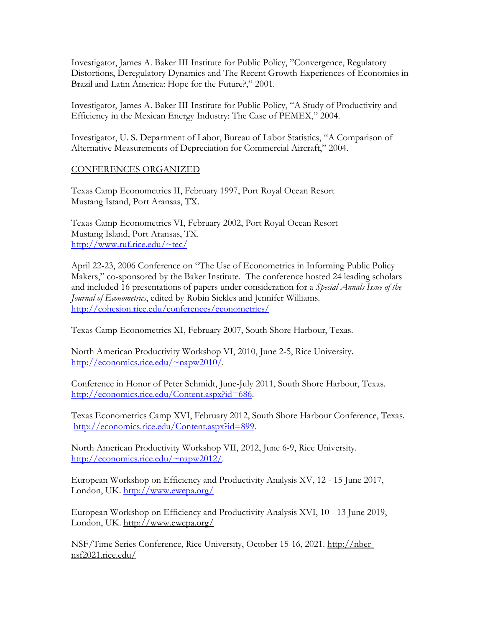Investigator, James A. Baker III Institute for Public Policy, "Convergence, Regulatory Distortions, Deregulatory Dynamics and The Recent Growth Experiences of Economies in Brazil and Latin America: Hope for the Future?," 2001.

Investigator, James A. Baker III Institute for Public Policy, "A Study of Productivity and Efficiency in the Mexican Energy Industry: The Case of PEMEX," 2004.

Investigator, U. S. Department of Labor, Bureau of Labor Statistics, "A Comparison of Alternative Measurements of Depreciation for Commercial Aircraft," 2004.

## CONFERENCES ORGANIZED

Texas Camp Econometrics II, February 1997, Port Royal Ocean Resort Mustang Istand, Port Aransas, TX.

Texas Camp Econometrics VI, February 2002, Port Royal Ocean Resort Mustang Island, Port Aransas, TX. [http://www.ruf.rice.edu/~tec/](http://www.ruf.rice.edu/%7Etec/)

April 22-23, 2006 Conference on "The Use of Econometrics in Informing Public Policy Makers," co-sponsored by the Baker Institute. The conference hosted 24 leading scholars and included 16 presentations of papers under consideration for a *Special Annals Issue of the Journal of Econometrics*, edited by Robin Sickles and Jennifer Williams. <http://cohesion.rice.edu/conferences/econometrics/>

Texas Camp Econometrics XI, February 2007, South Shore Harbour, Texas.

North American Productivity Workshop VI, 2010, June 2-5, Rice University. [http://economics.rice.edu/~napw2010/.](http://economics.rice.edu/%7Enapw2010/)

Conference in Honor of Peter Schmidt, June-July 2011, South Shore Harbour, Texas. [http://economics.rice.edu/Content.aspx?id=686.](http://economics.rice.edu/Content.aspx?id=686)

Texas Econometrics Camp XVI, February 2012, South Shore Harbour Conference, Texas. [http://economics.rice.edu/Content.aspx?id=899.](http://economics.rice.edu/Content.aspx?id=899)

North American Productivity Workshop VII, 2012, June 6-9, Rice University. [http://economics.rice.edu/~napw2012/.](http://economics.rice.edu/%7Enapw2012/)

European Workshop on Efficiency and Productivity Analysis XV, 12 - 15 June 2017, London, UK.<http://www.ewepa.org/>

European Workshop on Efficiency and Productivity Analysis XVI, 10 - 13 June 2019, London, UK. <http://www.ewepa.org/>

NSF/Time Series Conference, Rice University, October 15-16, 2021. [http://nber](http://nber-nsf2021.rice.edu/)[nsf2021.rice.edu/](http://nber-nsf2021.rice.edu/)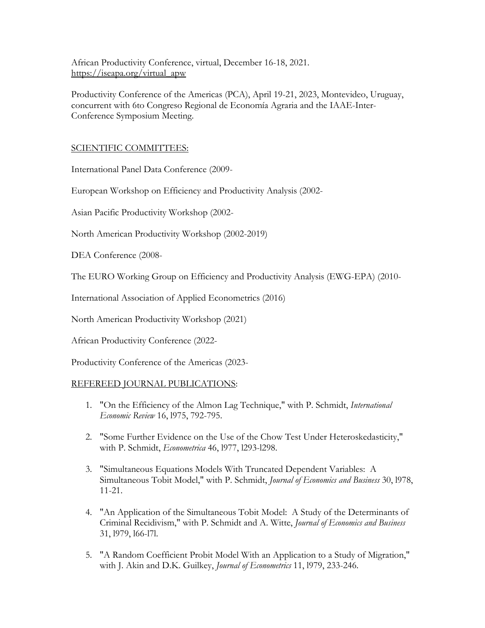African Productivity Conference, virtual, December 16-18, 2021. [https://iseapa.org/virtual\\_apw](https://iseapa.org/virtual_apw)

Productivity Conference of the Americas (PCA), April 19-21, 2023, Montevideo, Uruguay, concurrent with 6to Congreso Regional de Economía Agraria and the IAAE-Inter-Conference Symposium Meeting.

# SCIENTIFIC COMMITTEES:

International Panel Data Conference (2009-

European Workshop on Efficiency and Productivity Analysis (2002-

Asian Pacific Productivity Workshop (2002-

North American Productivity Workshop (2002-2019)

DEA Conference (2008-

The EURO Working Group on Efficiency and Productivity Analysis (EWG-EPA) (2010-

International Association of Applied Econometrics (2016)

North American Productivity Workshop (2021)

African Productivity Conference (2022-

Productivity Conference of the Americas (2023-

## REFEREED JOURNAL PUBLICATIONS:

- 1. "On the Efficiency of the Almon Lag Technique," with P. Schmidt, *International Economic Review* 16, l975, 792-795.
- 2. "Some Further Evidence on the Use of the Chow Test Under Heteroskedasticity," with P. Schmidt, *Econometrica* 46, l977, l293-l298.
- 3. "Simultaneous Equations Models With Truncated Dependent Variables: A Simultaneous Tobit Model," with P. Schmidt, *Journal of Economics and Business* 30, l978, 11-21.
- 4. "An Application of the Simultaneous Tobit Model: A Study of the Determinants of Criminal Recidivism," with P. Schmidt and A. Witte, *Journal of Economics and Business* 31, l979, l66-l7l.
- 5. "A Random Coefficient Probit Model With an Application to a Study of Migration," with J. Akin and D.K. Guilkey, *Journal of Econometrics* 11, l979, 233-246.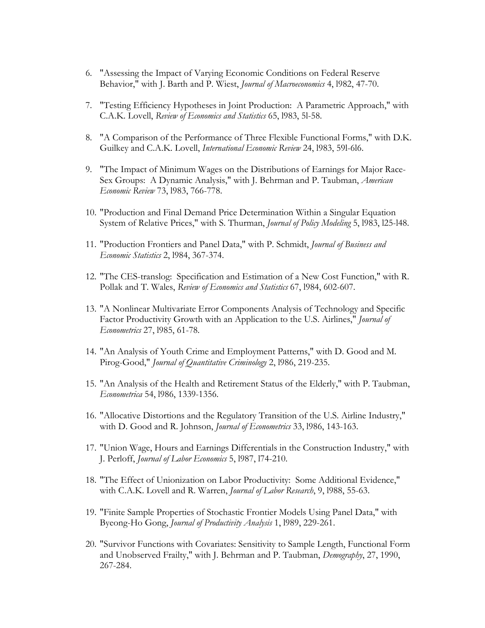- 6. "Assessing the Impact of Varying Economic Conditions on Federal Reserve Behavior," with J. Barth and P. Wiest, *Journal of Macroeconomics* 4, l982, 47-70.
- 7. "Testing Efficiency Hypotheses in Joint Production: A Parametric Approach," with C.A.K. Lovell, *Review of Economics and Statistics* 65, l983, 5l-58.
- 8. "A Comparison of the Performance of Three Flexible Functional Forms," with D.K. Guilkey and C.A.K. Lovell, *International Economic Review* 24, l983, 59l-6l6.
- 9. "The Impact of Minimum Wages on the Distributions of Earnings for Major Race-Sex Groups: A Dynamic Analysis," with J. Behrman and P. Taubman, *American Economic Review* 73, l983, 766-778.
- 10. "Production and Final Demand Price Determination Within a Singular Equation System of Relative Prices," with S. Thurman, *Journal of Policy Modeling* 5, l983, l25-l48.
- 11. "Production Frontiers and Panel Data," with P. Schmidt, *Journal of Business and Economic Statistics* 2, l984, 367-374.
- 12. "The CES-translog: Specification and Estimation of a New Cost Function," with R. Pollak and T. Wales, *Review of Economics and Statistics* 67, l984, 602-607.
- 13. "A Nonlinear Multivariate Error Components Analysis of Technology and Specific Factor Productivity Growth with an Application to the U.S. Airlines," *Journal of Econometrics* 27, l985, 61-78.
- 14. "An Analysis of Youth Crime and Employment Patterns," with D. Good and M. Pirog-Good," *Journal of Quantitative Criminology* 2, l986, 219-235.
- 15. "An Analysis of the Health and Retirement Status of the Elderly," with P. Taubman, *Econometrica* 54, l986, 1339-1356.
- 16. "Allocative Distortions and the Regulatory Transition of the U.S. Airline Industry," with D. Good and R. Johnson, *Journal of Econometrics* 33, l986, 143-163.
- 17. "Union Wage, Hours and Earnings Differentials in the Construction Industry," with J. Perloff, *Journal of Labor Economics* 5, l987, l74-210.
- 18. "The Effect of Unionization on Labor Productivity: Some Additional Evidence," with C.A.K. Lovell and R. Warren, *Journal of Labor Research*, 9, l988, 55-63.
- 19. "Finite Sample Properties of Stochastic Frontier Models Using Panel Data," with Byeong-Ho Gong, *Journal of Productivity Analysis* 1, l989, 229-261.
- 20. "Survivor Functions with Covariates: Sensitivity to Sample Length, Functional Form and Unobserved Frailty," with J. Behrman and P. Taubman, *Demography*, 27, 1990, 267-284.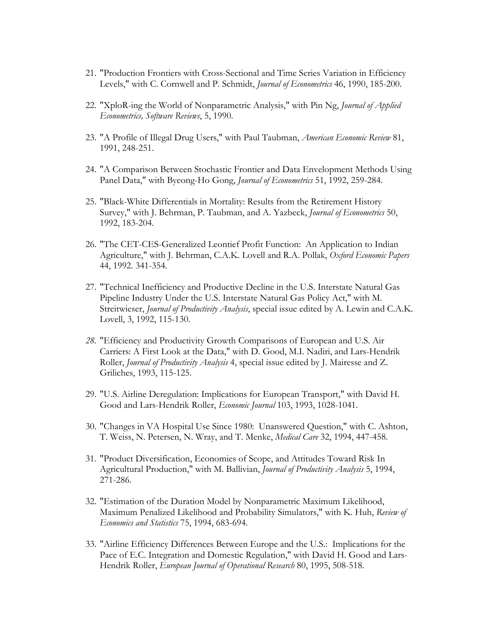- 21. "Production Frontiers with Cross-Sectional and Time Series Variation in Efficiency Levels," with C. Cornwell and P. Schmidt, *Journal of Econometrics* 46, 1990, 185-200.
- 22. "XploR-ing the World of Nonparametric Analysis," with Pin Ng, *Journal of Applied Econometrics, Software Reviews*, 5, 1990.
- 23. "A Profile of Illegal Drug Users," with Paul Taubman, *American Economic Review* 81, 1991, 248-251.
- 24. "A Comparison Between Stochastic Frontier and Data Envelopment Methods Using Panel Data," with Byeong-Ho Gong, *Journal of Econometrics* 51, 1992, 259-284.
- 25. "Black-White Differentials in Mortality: Results from the Retirement History Survey," with J. Behrman, P. Taubman, and A. Yazbeck, *Journal of Econometrics* 50, 1992, 183-204.
- 26. "The CET-CES-Generalized Leontief Profit Function: An Application to Indian Agriculture," with J. Behrman, C.A.K. Lovell and R.A. Pollak, *Oxford Economic Papers* 44, 1992. 341-354.
- 27. "Technical Inefficiency and Productive Decline in the U.S. Interstate Natural Gas Pipeline Industry Under the U.S. Interstate Natural Gas Policy Act," with M. Streitwieser, *Journal of Productivity Analysis*, special issue edited by A. Lewin and C.A.K. Lovell, 3, 1992, 115-130.
- *28.* "Efficiency and Productivity Growth Comparisons of European and U.S. Air Carriers: A First Look at the Data," with D. Good, M.I. Nadiri, and Lars-Hendrik Roller, *Journal of Productivity Analysis* 4, special issue edited by J. Mairesse and Z. Griliches, 1993, 115-125.
- 29. "U.S. Airline Deregulation: Implications for European Transport," with David H. Good and Lars-Hendrik Roller, *Economic Journal* 103, 1993, 1028-1041.
- 30. "Changes in VA Hospital Use Since 1980: Unanswered Question," with C. Ashton, T. Weiss, N. Petersen, N. Wray, and T. Menke, *Medical Care* 32, 1994, 447-458.
- 31. "Product Diversification, Economies of Scope, and Attitudes Toward Risk In Agricultural Production," with M. Ballivian, *Journal of Productivity Analysis* 5, 1994, 271-286.
- 32. "Estimation of the Duration Model by Nonparametric Maximum Likelihood, Maximum Penalized Likelihood and Probability Simulators," with K. Huh, *Review of Economics and Statistics* 75, 1994, 683-694.
- 33. "Airline Efficiency Differences Between Europe and the U.S.: Implications for the Pace of E.C. Integration and Domestic Regulation," with David H. Good and Lars-Hendrik Roller, *European Journal of Operational Research* 80, 1995, 508-518.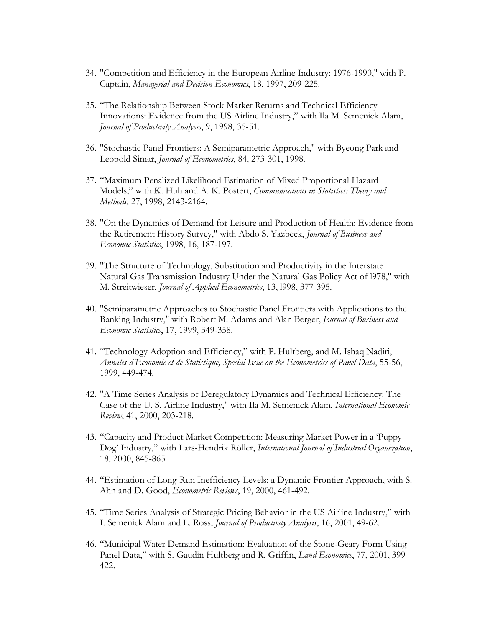- 34. "Competition and Efficiency in the European Airline Industry: 1976-1990," with P. Captain, *Managerial and Decision Economics*, 18, 1997, 209-225.
- 35. "The Relationship Between Stock Market Returns and Technical Efficiency Innovations: Evidence from the US Airline Industry," with Ila M. Semenick Alam, *Journal of Productivity Analysis*, 9, 1998, 35-51.
- 36. "Stochastic Panel Frontiers: A Semiparametric Approach," with Byeong Park and Leopold Simar, *Journal of Econometrics*, 84, 273-301, 1998.
- 37. "Maximum Penalized Likelihood Estimation of Mixed Proportional Hazard Models," with K. Huh and A. K. Postert, *Communications in Statistics: Theory and Methods*, 27, 1998, 2143-2164.
- 38. "On the Dynamics of Demand for Leisure and Production of Health: Evidence from the Retirement History Survey," with Abdo S. Yazbeck, *Journal of Business and Economic Statistics*, 1998, 16, 187-197.
- 39. "The Structure of Technology, Substitution and Productivity in the Interstate Natural Gas Transmission Industry Under the Natural Gas Policy Act of l978," with M. Streitwieser, *Journal of Applied Econometrics*, 13, l998, 377-395.
- 40. "Semiparametric Approaches to Stochastic Panel Frontiers with Applications to the Banking Industry," with Robert M. Adams and Alan Berger, *Journal of Business and Economic Statistics*, 17, 1999, 349-358.
- 41. "Technology Adoption and Efficiency," with P. Hultberg, and M. Ishaq Nadiri, *Annales d'Economie et de Statistique, Special Issue on the Econometrics of Panel Data*, 55-56, 1999, 449-474.
- 42. "A Time Series Analysis of Deregulatory Dynamics and Technical Efficiency: The Case of the U. S. Airline Industry," with Ila M. Semenick Alam, *International Economic Review*, 41, 2000, 203-218.
- 43. "Capacity and Product Market Competition: Measuring Market Power in a 'Puppy-Dog' Industry," with Lars-Hendrik Röller, *International Journal of Industrial Organization*, 18, 2000, 845-865.
- 44. "Estimation of Long-Run Inefficiency Levels: a Dynamic Frontier Approach, with S. Ahn and D. Good, *Econometric Reviews*, 19, 2000, 461-492.
- 45. "Time Series Analysis of Strategic Pricing Behavior in the US Airline Industry," with I. Semenick Alam and L. Ross, *Journal of Productivity Analysis*, 16, 2001, 49-62.
- 46. "Municipal Water Demand Estimation: Evaluation of the Stone-Geary Form Using Panel Data," with S. Gaudin Hultberg and R. Griffin, *Land Economics*, 77, 2001, 399- 422.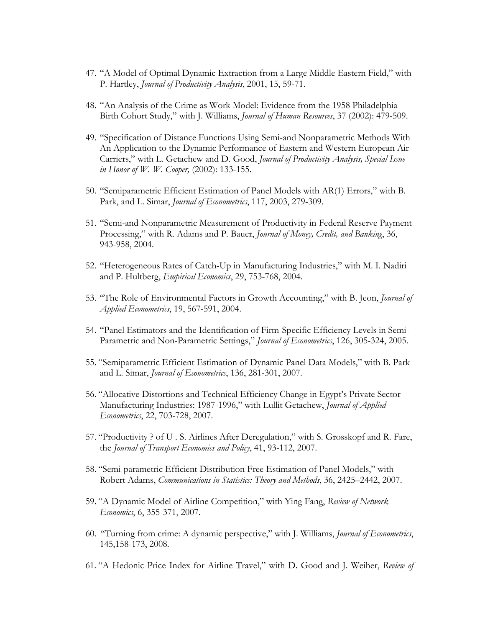- 47. "A Model of Optimal Dynamic Extraction from a Large Middle Eastern Field," with P. Hartley, *Journal of Productivity Analysis*, 2001, 15, 59-71.
- 48. "An Analysis of the Crime as Work Model: Evidence from the 1958 Philadelphia Birth Cohort Study," with J. Williams, *Journal of Human Resources*, 37 (2002): 479-509.
- 49. "Specification of Distance Functions Using Semi-and Nonparametric Methods With An Application to the Dynamic Performance of Eastern and Western European Air Carriers," with L. Getachew and D. Good, *Journal of Productivity Analysis, Special Issue in Honor of W. W. Cooper,* (2002): 133-155.
- 50. "Semiparametric Efficient Estimation of Panel Models with AR(1) Errors," with B. Park, and L. Simar, *Journal of Econometrics*, 117, 2003, 279-309.
- 51. "Semi-and Nonparametric Measurement of Productivity in Federal Reserve Payment Processing," with R. Adams and P. Bauer, *Journal of Money, Credit, and Banking*, 36, 943-958, 2004.
- 52. "Heterogeneous Rates of Catch-Up in Manufacturing Industries," with M. I. Nadiri and P. Hultberg, *Empirical Economics*, 29, 753-768, 2004.
- 53. "The Role of Environmental Factors in Growth Accounting," with B. Jeon, *Journal of Applied Econometrics*, 19, 567-591, 2004.
- 54. "Panel Estimators and the Identification of Firm-Specific Efficiency Levels in Semi-Parametric and Non-Parametric Settings," *Journal of Econometrics*, 126, 305-324, 2005.
- 55. "Semiparametric Efficient Estimation of Dynamic Panel Data Models," with B. Park and L. Simar, *Journal of Econometrics*, 136, 281-301, 2007.
- 56. "Allocative Distortions and Technical Efficiency Change in Egypt's Private Sector Manufacturing Industries: 1987-1996," with Lullit Getachew, *Journal of Applied Econometrics*, 22, 703-728, 2007.
- 57. "Productivity ? of U . S. Airlines After Deregulation," with S. Grosskopf and R. Fare, the *Journal of Transport Economics and Policy*, 41, 93-112, 2007.
- 58. "Semi-parametric Efficient Distribution Free Estimation of Panel Models," with Robert Adams, *Communications in Statistics: Theory and Methods*, 36, 2425–2442, 2007.
- 59. "A Dynamic Model of Airline Competition," with Ying Fang, *Review of Network Economics*, 6, 355-371, 2007.
- 60. "Turning from crime: A dynamic perspective," with J. Williams, *Journal of Econometrics*, 145,158-173, 2008.
- 61. "A Hedonic Price Index for Airline Travel," with D. Good and J. Weiher, *Review of*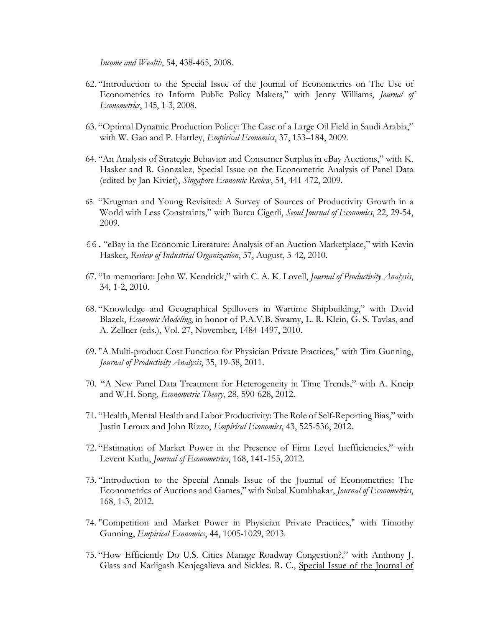*Income and Wealth*, 54, 438-465, 2008.

- 62. "Introduction to the Special Issue of the Journal of Econometrics on The Use of Econometrics to Inform Public Policy Makers," with Jenny Williams, *Journal of Econometrics*, 145, 1-3, 2008.
- 63. "Optimal Dynamic Production Policy: The Case of a Large Oil Field in Saudi Arabia," with W. Gao and P. Hartley, *Empirical Economics*, 37, 153–184, 2009.
- 64. "An Analysis of Strategic Behavior and Consumer Surplus in eBay Auctions," with K. Hasker and R. Gonzalez, Special Issue on the Econometric Analysis of Panel Data (edited by Jan Kiviet), *Singapore Economic Review*, 54, 441-472, 2009.
- 65. "Krugman and Young Revisited: A Survey of Sources of Productivity Growth in a World with Less Constraints," with Burcu Cigerli, *Seoul Journal of Economics*, 22, 29-54, 2009.
- 66."eBay in the Economic Literature: Analysis of an Auction Marketplace," with Kevin Hasker, *Review of Industrial Organization*, 37, August, 3-42, 2010.
- 67. "In memoriam: John W. Kendrick," with C. A. K. Lovell, *Journal of Productivity Analysis*, 34, 1-2, 2010.
- 68. "Knowledge and Geographical Spillovers in Wartime Shipbuilding," with David Blazek, *Economic Modeling*, in honor of P.A.V.B. Swamy, L. R. Klein, G. S. Tavlas, and A. Zellner (eds.), Vol. 27, November, 1484-1497, 2010.
- 69. "A Multi-product Cost Function for Physician Private Practices," with Tim Gunning, *Journal of Productivity Analysis*, 35, 19-38, 2011.
- 70. "A New Panel Data Treatment for Heterogeneity in Time Trends," with A. Kneip and W.H. Song, *Econometric Theory*, 28, 590-628, 2012.
- 71. "Health, Mental Health and Labor Productivity: The Role of Self-Reporting Bias," with Justin Leroux and John Rizzo, *Empirical Economics*, 43, 525-536, 2012.
- 72. "Estimation of Market Power in the Presence of Firm Level Inefficiencies," with Levent Kutlu, *Journal of Econometrics*, 168, 141-155, 2012.
- 73. "Introduction to the Special Annals Issue of the Journal of Econometrics: The Econometrics of Auctions and Games," with Subal Kumbhakar, *Journal of Econometrics*, 168, 1-3, 2012.
- 74. "Competition and Market Power in Physician Private Practices," with Timothy Gunning, *Empirical Economics*, 44, 1005-1029, 2013.
- 75. "How Efficiently Do U.S. Cities Manage Roadway Congestion?," with Anthony J. Glass and Karligash Kenjegalieva and Sickles. R. C., Special Issue of the Journal of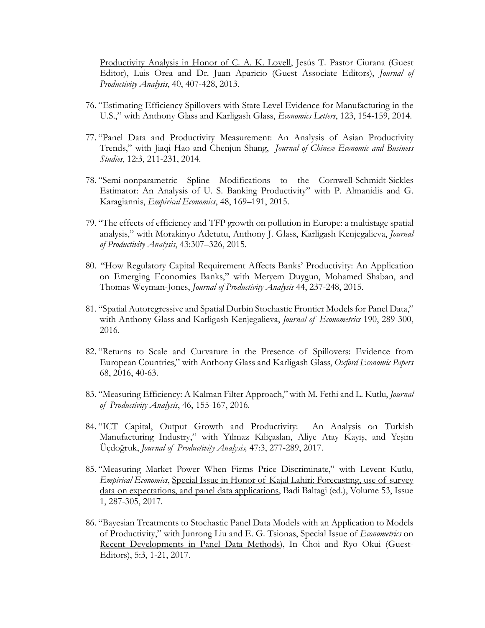Productivity Analysis in Honor of C. A. K. Lovell, Jesús T. Pastor Ciurana (Guest Editor), Luis Orea and Dr. Juan Aparicio (Guest Associate Editors), *Journal of Productivity Analysis*, 40, 407-428, 2013.

- 76. "Estimating Efficiency Spillovers with State Level Evidence for Manufacturing in the U.S.," with Anthony Glass and Karligash Glass, *Economics Letters*, 123, 154-159, 2014.
- 77. "Panel Data and Productivity Measurement: An Analysis of Asian Productivity Trends," with Jiaqi Hao and Chenjun Shang, *Journal of Chinese Economic and Business Studies*, 12:3, 211-231, 2014.
- 78. "Semi-nonparametric Spline Modifications to the Cornwell-Schmidt-Sickles Estimator: An Analysis of U. S. Banking Productivity" with P. Almanidis and G. Karagiannis, *Empirical Economics*, 48, 169–191, 2015.
- 79. "The effects of efficiency and TFP growth on pollution in Europe: a multistage spatial analysis," with Morakinyo Adetutu, Anthony J. Glass, Karligash Kenjegalieva, *Journal of Productivity Analysis*, 43:307–326, 2015.
- 80. "How Regulatory Capital Requirement Affects Banks' Productivity: An Application on Emerging Economies Banks," with Meryem Duygun, Mohamed Shaban, and Thomas Weyman-Jones, *Journal of Productivity Analysis* 44, 237-248, 2015.
- 81. "Spatial Autoregressive and Spatial Durbin Stochastic Frontier Models for Panel Data," with Anthony Glass and Karligash Kenjegalieva, *Journal of Econometrics* 190, 289-300, 2016.
- 82. "Returns to Scale and Curvature in the Presence of Spillovers: Evidence from European Countries," with Anthony Glass and Karligash Glass, *Oxford Economic Papers* 68, 2016, 40-63.
- 83. "Measuring Efficiency: A Kalman Filter Approach," with M. Fethi and L. Kutlu, *Journal of Productivity Analysis*, 46, 155-167, 2016.
- 84. "ICT Capital, Output Growth and Productivity: An Analysis on Turkish Manufacturing Industry," with Yılmaz Kılıçaslan, Aliye Atay Kayış, and Yeşim Üçdoğruk, *Journal of Productivity Analysis,* 47:3, 277-289, 2017.
- 85. "Measuring Market Power When Firms Price Discriminate," with Levent Kutlu, *Empirical Economics*, Special Issue in Honor of Kajal Lahiri: Forecasting, use of survey data on expectations, and panel data applications, Badi Baltagi (ed.), Volume 53, Issue 1, 287-305, 2017.
- 86. "Bayesian Treatments to Stochastic Panel Data Models with an Application to Models of Productivity," with Junrong Liu and E. G. Tsionas, Special Issue of *Econometrics* on Recent Developments in Panel Data Methods), In Choi and Ryo Okui (Guest-Editors), 5:3, 1-21, 2017.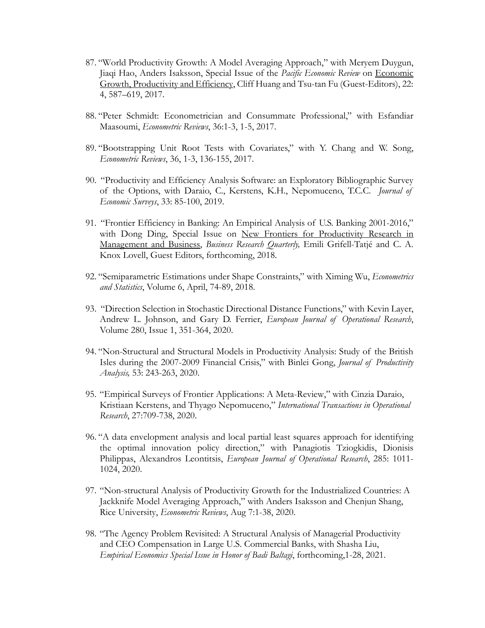- 87. "World Productivity Growth: A Model Averaging Approach," with Meryem Duygun, Jiaqi Hao, Anders Isaksson, Special Issue of the *Pacific Economic Review* on Economic Growth, Productivity and Efficiency, Cliff Huang and Tsu-tan Fu (Guest-Editors), 22: 4, 587–619, 2017.
- 88. "Peter Schmidt: Econometrician and Consummate Professional," with Esfandiar Maasoumi, *Econometric Reviews*, 36:1-3, 1-5, 2017.
- 89. "Bootstrapping Unit Root Tests with Covariates," with Y. Chang and W. Song, *Econometric Reviews*, 36, 1-3, 136-155, 2017.
- 90. "Productivity and Efficiency Analysis Software: an Exploratory Bibliographic Survey of the Options, with Daraio, C., Kerstens, K.H., Nepomuceno, T.C.C. *Journal of Economic Surveys*, 33: 85-100, 2019.
- 91. "Frontier Efficiency in Banking: An Empirical Analysis of U.S. Banking 2001-2016," with Dong Ding, Special Issue on New Frontiers for Productivity Research in Management and Business, *Business Research Quarterly,* Emili Grifell-Tatjé and C. A. Knox Lovell, Guest Editors, forthcoming, 2018.
- 92. "Semiparametric Estimations under Shape Constraints," with Ximing Wu, *Econometrics and Statistics*, Volume 6, April, 74-89, 2018.
- 93. "Direction Selection in Stochastic Directional Distance Functions," with Kevin Layer, Andrew L. Johnson, and Gary D. Ferrier, *European Journal of Operational Research*, Volume 280, Issue 1, 351-364, 2020.
- 94. "Non-Structural and Structural Models in Productivity Analysis: Study of the British Isles during the 2007-2009 Financial Crisis," with Binlei Gong, *Journal of Productivity Analysis,* 53: 243-263, 2020.
- 95. "Empirical Surveys of Frontier Applications: A Meta-Review," with Cinzia Daraio, Kristiaan Kerstens, and Thyago Nepomuceno," *International Transactions in Operational Research*, 27:709-738, 2020.
- 96. "A data envelopment analysis and local partial least squares approach for identifying the optimal innovation policy direction," with Panagiotis Tziogkidis, Dionisis Philippas, Alexandros Leontitsis, *European Journal of Operational Research*, 285: 1011- 1024, 2020.
- 97. "Non-structural Analysis of Productivity Growth for the Industrialized Countries: A Jackknife Model Averaging Approach," with Anders Isaksson and Chenjun Shang, Rice University, *Econometric Reviews*, Aug 7:1-38, 2020.
- 98. "The Agency Problem Revisited: A Structural Analysis of Managerial Productivity and CEO Compensation in Large U.S. Commercial Banks, with Shasha Liu, *Empirical Economics Special Issue in Honor of Badi Baltagi*, forthcoming,1-28, 2021.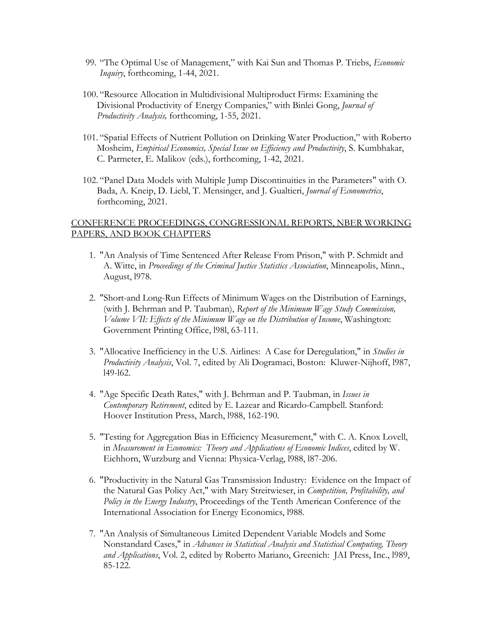- 99. "The Optimal Use of Management," with Kai Sun and Thomas P. Triebs, *Economic Inquiry*, forthcoming, 1-44, 2021.
- 100. "Resource Allocation in Multidivisional Multiproduct Firms: Examining the Divisional Productivity of Energy Companies," with Binlei Gong, *Journal of Productivity Analysis,* forthcoming, 1-55, 2021.
- 101. "Spatial Effects of Nutrient Pollution on Drinking Water Production," with Roberto Mosheim, *Empirical Economics, Special Issue on Efficiency and Productivity*, S. Kumbhakar, C. Parmeter, E. Malikov (eds.), forthcoming, 1-42, 2021.
- 102. "Panel Data Models with Multiple Jump Discontinuities in the Parameters" with O. Bada, A. Kneip, D. Liebl, T. Mensinger, and J. Gualtieri, *Journal of Econometrics*, forthcoming, 2021.

### CONFERENCE PROCEEDINGS, CONGRESSIONAL REPORTS, NBER WORKING PAPERS, AND BOOK CHAPTERS

- 1. "An Analysis of Time Sentenced After Release From Prison," with P. Schmidt and A. Witte, in *Proceedings of the Criminal Justice Statistics Association*, Minneapolis, Minn., August, l978.
- 2. "Short-and Long-Run Effects of Minimum Wages on the Distribution of Earnings, (with J. Behrman and P. Taubman), *Report of the Minimum Wage Study Commission, Volume VII: Effects of the Minimum Wage on the Distribution of Income*, Washington: Government Printing Office, l98l, 63-111.
- 3. "Allocative Inefficiency in the U.S. Airlines: A Case for Deregulation," in *Studies in Productivity Analysis*, Vol. 7, edited by Ali Dogramaci, Boston: Kluwer-Nijhoff, l987, l49-l62.
- 4. "Age Specific Death Rates," with J. Behrman and P. Taubman, in *Issues in Contemporary Retirement*, edited by E. Lazear and Ricardo-Campbell. Stanford: Hoover Institution Press, March, l988, 162-190.
- 5. "Testing for Aggregation Bias in Efficiency Measurement," with C. A. Knox Lovell, in *Measurement in Economics: Theory and Applications of Economic Indices*, edited by W. Eichhorn, Wurzburg and Vienna: Physica-Verlag, l988, l87-206.
- 6. "Productivity in the Natural Gas Transmission Industry: Evidence on the Impact of the Natural Gas Policy Act," with Mary Streitwieser, in *Competition, Profitability, and Policy in the Energy Industry*, Proceedings of the Tenth American Conference of the International Association for Energy Economics, l988.
- 7. "An Analysis of Simultaneous Limited Dependent Variable Models and Some Nonstandard Cases," in *Advances in Statistical Analysis and Statistical Computing, Theory and Applications*, Vol. 2, edited by Roberto Mariano, Greenich: JAI Press, Inc., l989, 85-122.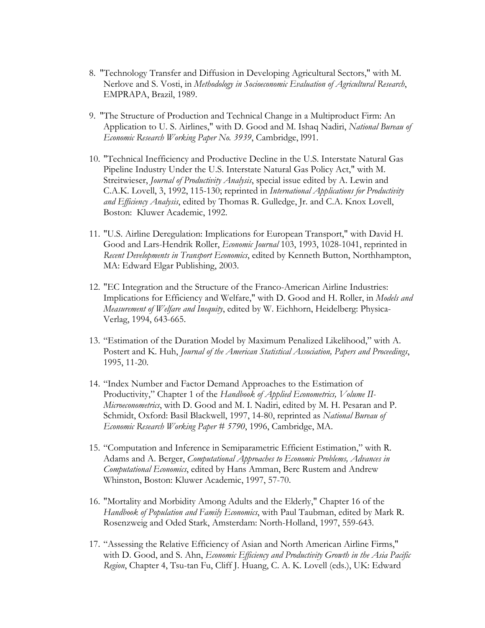- 8. "Technology Transfer and Diffusion in Developing Agricultural Sectors," with M. Nerlove and S. Vosti, in *Methodology in Socioeconomic Evaluation of Agricultural Research*, EMPRAPA, Brazil, 1989.
- 9. "The Structure of Production and Technical Change in a Multiproduct Firm: An Application to U. S. Airlines," with D. Good and M. Ishaq Nadiri, *National Bureau of Economic Research Working Paper No. 3939*, Cambridge, l991.
- 10. "Technical Inefficiency and Productive Decline in the U.S. Interstate Natural Gas Pipeline Industry Under the U.S. Interstate Natural Gas Policy Act," with M. Streitwieser, *Journal of Productivity Analysis*, special issue edited by A. Lewin and C.A.K. Lovell, 3, 1992, 115-130; reprinted in *International Applications for Productivity and Efficiency Analysis*, edited by Thomas R. Gulledge, Jr. and C.A. Knox Lovell, Boston: Kluwer Academic, 1992.
- 11. "U.S. Airline Deregulation: Implications for European Transport," with David H. Good and Lars-Hendrik Roller, *Economic Journal* 103, 1993, 1028-1041, reprinted in *Recent Developments in Transport Economics*, edited by Kenneth Button, Northhampton, MA: Edward Elgar Publishing, 2003.
- 12. "EC Integration and the Structure of the Franco-American Airline Industries: Implications for Efficiency and Welfare," with D. Good and H. Roller, in *Models and Measurement of Welfare and Inequity*, edited by W. Eichhorn, Heidelberg: Physica-Verlag, 1994, 643-665.
- 13. "Estimation of the Duration Model by Maximum Penalized Likelihood," with A. Postert and K. Huh, *Journal of the American Statistical Association, Papers and Proceedings*, 1995, 11-20.
- 14. "Index Number and Factor Demand Approaches to the Estimation of Productivity," Chapter 1 of the *Handbook of Applied Econometrics, Volume II-Microeconometrics*, with D. Good and M. I. Nadiri, edited by M. H. Pesaran and P. Schmidt, Oxford: Basil Blackwell, 1997, 14-80, reprinted as *National Bureau of Economic Research Working Paper # 5790*, 1996, Cambridge, MA.
- 15. "Computation and Inference in Semiparametric Efficient Estimation," with R. Adams and A. Berger, *Computational Approaches to Economic Problems, Advances in Computational Economics*, edited by Hans Amman, Berc Rustem and Andrew Whinston, Boston: Kluwer Academic, 1997, 57-70.
- 16. "Mortality and Morbidity Among Adults and the Elderly," Chapter 16 of the *Handbook of Population and Family Economics*, with Paul Taubman, edited by Mark R. Rosenzweig and Oded Stark, Amsterdam: North-Holland, 1997, 559-643.
- 17. "Assessing the Relative Efficiency of Asian and North American Airline Firms," with D. Good, and S. Ahn, *Economic Efficiency and Productivity Growth in the Asia Pacific Region*, Chapter 4, Tsu-tan Fu, Cliff J. Huang, C. A. K. Lovell (eds.), UK: Edward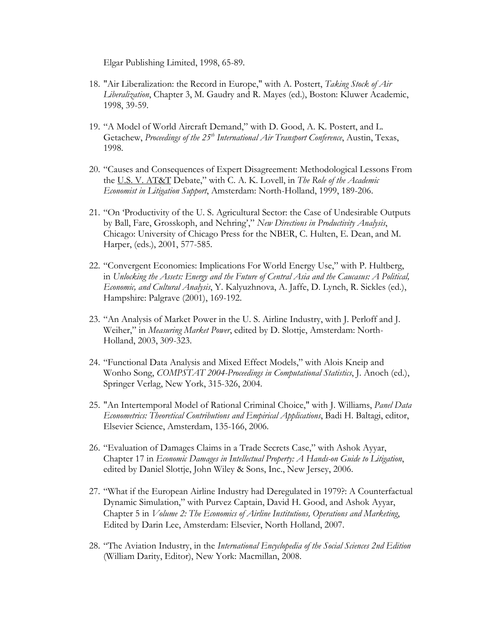Elgar Publishing Limited, 1998, 65-89.

- 18. "Air Liberalization: the Record in Europe," with A. Postert, *Taking Stock of Air Liberalization*, Chapter 3, M. Gaudry and R. Mayes (ed.), Boston: Kluwer Academic, 1998, 39-59.
- 19. "A Model of World Aircraft Demand," with D. Good, A. K. Postert, and L. Getachew, *Proceedings of the 25th International Air Transport Conference*, Austin, Texas, 1998.
- 20. "Causes and Consequences of Expert Disagreement: Methodological Lessons From the U.S. V. AT&T Debate," with C. A. K. Lovell, in *The Role of the Academic Economist in Litigation Support*, Amsterdam: North-Holland, 1999, 189-206.
- 21. "On 'Productivity of the U. S. Agricultural Sector: the Case of Undesirable Outputs by Ball, Fare, Grosskoph, and Nehring'," *New Directions in Productivity Analysis*, Chicago: University of Chicago Press for the NBER, C. Hulten, E. Dean, and M. Harper, (eds.), 2001, 577-585.
- 22. "Convergent Economies: Implications For World Energy Use," with P. Hultberg, in *Unlocking the Assets: Energy and the Future of Central Asia and the Caucasus: A Political, Economic, and Cultural Analysis*, Y. Kalyuzhnova, A. Jaffe, D. Lynch, R. Sickles (ed.), Hampshire: Palgrave (2001), 169-192.
- 23. "An Analysis of Market Power in the U. S. Airline Industry, with J. Perloff and J. Weiher," in *Measuring Market Power*, edited by D. Slottje, Amsterdam: North-Holland, 2003, 309-323.
- 24. "Functional Data Analysis and Mixed Effect Models," with Alois Kneip and Wonho Song, *COMPSTAT 2004-Proceedings in Computational Statistics*, J. Anoch (ed.), Springer Verlag, New York, 315-326, 2004.
- 25. "An Intertemporal Model of Rational Criminal Choice," with J. Williams, *Panel Data Econometrics: Theoretical Contributions and Empirical Applications*, Badi H. Baltagi, editor, Elsevier Science, Amsterdam, 135-166, 2006.
- 26. "Evaluation of Damages Claims in a Trade Secrets Case," with Ashok Ayyar, Chapter 17 in *Economic Damages in Intellectual Property: A Hands-on Guide to Litigation*, edited by Daniel Slottje, John Wiley & Sons, Inc., New Jersey, 2006.
- 27. "What if the European Airline Industry had Deregulated in 1979?: A Counterfactual Dynamic Simulation," with Purvez Captain, David H. Good, and Ashok Ayyar, Chapter 5 in *Volume 2: The Economics of Airline Institutions, Operations and Marketing*, Edited by Darin Lee, Amsterdam: Elsevier, North Holland, 2007.
- 28. "The Aviation Industry, in the *International Encyclopedia of the Social Sciences 2nd Edition* (William Darity, Editor), New York: Macmillan, 2008.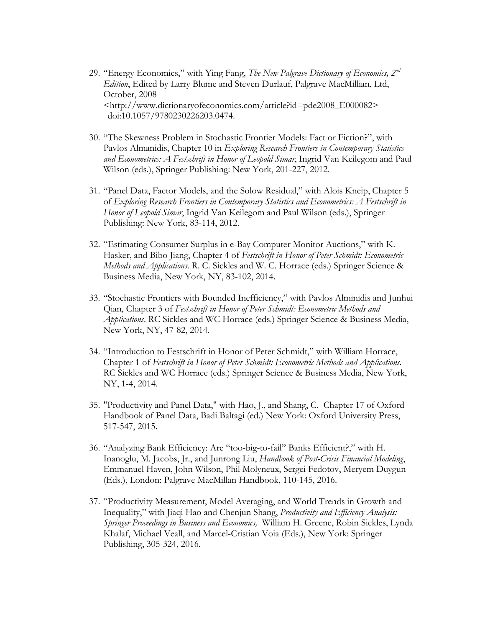- 29. "Energy Economics," with Ying Fang, *The New Palgrave Dictionary of Economics, 2nd Edition*, Edited by Larry Blume and Steven Durlauf, Palgrave MacMillian, Ltd, October, 2008 <http://www.dictionaryofeconomics.com/article?id=pde2008\_E000082> doi:10.1057/9780230226203.0474.
- 30. "The Skewness Problem in Stochastic Frontier Models: Fact or Fiction?", with Pavlos Almanidis, Chapter 10 in *Exploring Research Frontiers in Contemporary Statistics and Econometrics: A Festschrift in Honor of Leopold Simar*, Ingrid Van Keilegom and Paul Wilson (eds.), Springer Publishing: New York, 201-227, 2012.
- 31. "Panel Data, Factor Models, and the Solow Residual," with Alois Kneip, Chapter 5 of *Exploring Research Frontiers in Contemporary Statistics and Econometrics: A Festschrift in Honor of Leopold Simar*, Ingrid Van Keilegom and Paul Wilson (eds.), Springer Publishing: New York, 83-114, 2012.
- 32. "Estimating Consumer Surplus in e-Bay Computer Monitor Auctions," with K. Hasker, and Bibo Jiang, Chapter 4 of *Festschrift in Honor of Peter Schmidt: Econometric Methods and Applications*. R. C. Sickles and W. C. Horrace (eds.) Springer Science & Business Media, New York, NY, 83-102, 2014.
- 33. "Stochastic Frontiers with Bounded Inefficiency," with Pavlos Alminidis and Junhui Qian, Chapter 3 of *Festschrift in Honor of Peter Schmidt: Econometric Methods and Applications*. RC Sickles and WC Horrace (eds.) Springer Science & Business Media, New York, NY, 47-82, 2014.
- 34. "Introduction to Festschrift in Honor of Peter Schmidt," with William Horrace, Chapter 1 of *Festschrift in Honor of Peter Schmidt: Econometric Methods and Applications.* RC Sickles and WC Horrace (eds.) Springer Science & Business Media, New York, NY, 1-4, 2014.
- 35. "Productivity and Panel Data," with Hao, J., and Shang, C. Chapter 17 of Oxford Handbook of Panel Data, Badi Baltagi (ed.) New York: Oxford University Press, 517-547, 2015.
- 36. "Analyzing Bank Efficiency: Are "too-big-to-fail" Banks Efficient?," with H. Inanoglu, M. Jacobs, Jr., and Junrong Liu, *Handbook of Post-Crisis Financial Modeling*, Emmanuel Haven, John Wilson, Phil Molyneux, Sergei Fedotov, Meryem Duygun (Eds.), London: Palgrave MacMillan Handbook, 110-145, 2016.
- 37. "Productivity Measurement, Model Averaging, and World Trends in Growth and Inequality," with Jiaqi Hao and Chenjun Shang, *Productivity and Efficiency Analysis: Springer Proceedings in Business and Economics,* William H. Greene, Robin Sickles, Lynda Khalaf, Michael Veall, and Marcel-Cristian Voia (Eds.), New York: Springer Publishing, 305-324, 2016.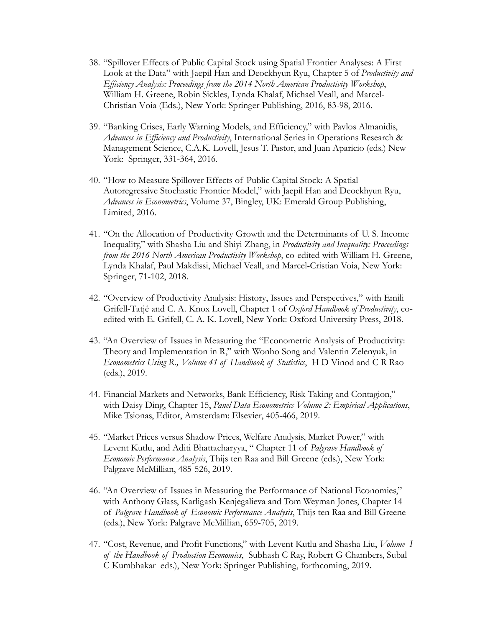- 38. "Spillover Effects of Public Capital Stock using Spatial Frontier Analyses: A First Look at the Data" with Jaepil Han and Deockhyun Ryu, Chapter 5 of *Productivity and Efficiency Analysis: Proceedings from the 2014 North American Productivity Workshop*, William H. Greene, Robin Sickles, Lynda Khalaf, Michael Veall, and Marcel-Christian Voia (Eds.), New York: Springer Publishing, 2016, 83-98, 2016.
- 39. "Banking Crises, Early Warning Models, and Efficiency," with Pavlos Almanidis, *Advances in Efficiency and Productivity*, International Series in Operations Research & Management Science, C.A.K. Lovell, Jesus T. Pastor, and Juan Aparicio (eds.) New York: Springer, 331-364, 2016.
- 40. "How to Measure Spillover Effects of Public Capital Stock: A Spatial Autoregressive Stochastic Frontier Model," with Jaepil Han and Deockhyun Ryu, *Advances in Econometrics*, Volume 37, Bingley, UK: Emerald Group Publishing, Limited, 2016.
- 41. "On the Allocation of Productivity Growth and the Determinants of U. S. Income Inequality," with Shasha Liu and Shiyi Zhang, in *Productivity and Inequality: Proceedings from the 2016 North American Productivity Workshop*, co-edited with William H. Greene, Lynda Khalaf, Paul Makdissi, Michael Veall, and Marcel-Cristian Voia, New York: Springer, 71-102, 2018.
- 42. "Overview of Productivity Analysis: History, Issues and Perspectives," with Emili Grifell-Tatjé and C. A. Knox Lovell, Chapter 1 of *Oxford Handbook of Productivity*, coedited with E. Grifell, C. A. K. Lovell, New York: Oxford University Press, 2018.
- 43. "An Overview of Issues in Measuring the "Econometric Analysis of Productivity: Theory and Implementation in R," with Wonho Song and Valentin Zelenyuk, in *Econometrics Using R., Volume 41 of Handbook of Statistics*, H D Vinod and C R Rao (eds.), 2019.
- 44. Financial Markets and Networks, Bank Efficiency, Risk Taking and Contagion," with Daisy Ding, Chapter 15, *Panel Data Econometrics Volume 2: Empirical Applications*, Mike Tsionas, Editor, Amsterdam: Elsevier, 405-466, 2019.
- 45. "Market Prices versus Shadow Prices, Welfare Analysis, Market Power," with Levent Kutlu, and Aditi Bhattacharyya, " Chapter 11 of *Palgrave Handbook of Economic Performance Analysis*, Thijs ten Raa and Bill Greene (eds.), New York: Palgrave McMillian, 485-526, 2019.
- 46. "An Overview of Issues in Measuring the Performance of National Economies," with Anthony Glass, Karligash Kenjegalieva and Tom Weyman Jones, Chapter 14 of *Palgrave Handbook of Economic Performance Analysis*, Thijs ten Raa and Bill Greene (eds.), New York: Palgrave McMillian, 659-705, 2019.
- 47. "Cost, Revenue, and Profit Functions," with Levent Kutlu and Shasha Liu, *Volume I of the Handbook of Production Economics*, Subhash C Ray, Robert G Chambers, Subal C Kumbhakar eds.), New York: Springer Publishing, forthcoming, 2019.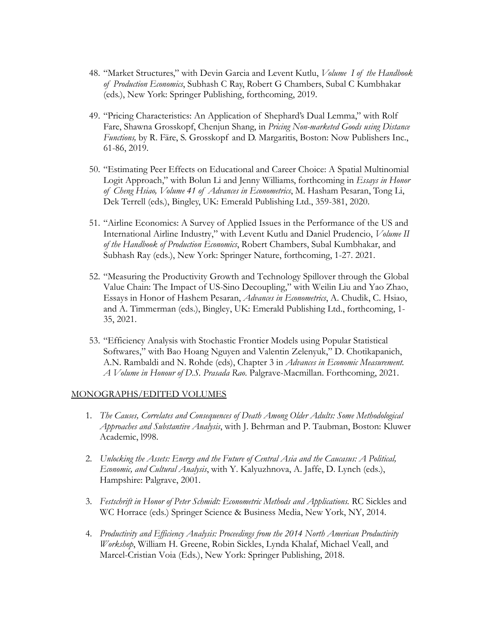- 48. "Market Structures," with Devin Garcia and Levent Kutlu, *Volume I of the Handbook of Production Economics*, Subhash C Ray, Robert G Chambers, Subal C Kumbhakar (eds.), New York: Springer Publishing, forthcoming, 2019.
- 49. "Pricing Characteristics: An Application of Shephard's Dual Lemma," with Rolf Fare, Shawna Grosskopf, Chenjun Shang, in *Pricing Non-marketed Goods using Distance Functions,* by R. Färe, S. Grosskopf and D. Margaritis, Boston: Now Publishers Inc., 61-86, 2019.
- 50. "Estimating Peer Effects on Educational and Career Choice: A Spatial Multinomial Logit Approach," with Bolun Li and Jenny Williams, forthcoming in *Essays in Honor of Cheng Hsiao, Volume 41 of Advances in Econometrics*, M. Hasham Pesaran, Tong Li, Dek Terrell (eds.), Bingley, UK: Emerald Publishing Ltd., 359-381, 2020.
- 51. "Airline Economics: A Survey of Applied Issues in the Performance of the US and International Airline Industry," with Levent Kutlu and Daniel Prudencio, *Volume II of the Handbook of Production Economics*, Robert Chambers, Subal Kumbhakar, and Subhash Ray (eds.), New York: Springer Nature, forthcoming, 1-27. 2021.
- 52. "Measuring the Productivity Growth and Technology Spillover through the Global Value Chain: The Impact of US-Sino Decoupling," with Weilin Liu and Yao Zhao, Essays in Honor of Hashem Pesaran, *Advances in Econometrics*, A. Chudik, C. Hsiao, and A. Timmerman (eds.), Bingley, UK: Emerald Publishing Ltd., forthcoming, 1- 35, 2021.
- 53. "Efficiency Analysis with Stochastic Frontier Models using Popular Statistical Softwares," with Bao Hoang Nguyen and Valentin Zelenyuk," D. Chotikapanich, A.N. Rambaldi and N. Rohde (eds), Chapter 3 in *Advances in Economic Measurement. A Volume in Honour of D.S. Prasada Rao*. Palgrave-Macmillan. Forthcoming, 2021.

#### MONOGRAPHS/EDITED VOLUMES

- 1. *The Causes, Correlates and Consequences of Death Among Older Adults: Some Methodological Approaches and Substantive Analysis*, with J. Behrman and P. Taubman, Boston: Kluwer Academic, l998.
- 2. *Unlocking the Assets: Energy and the Future of Central Asia and the Caucasus: A Political, Economic, and Cultural Analysis*, with Y. Kalyuzhnova, A. Jaffe, D. Lynch (eds.), Hampshire: Palgrave, 2001.
- 3. *Festschrift in Honor of Peter Schmidt: Econometric Methods and Applications.* RC Sickles and WC Horrace (eds.) Springer Science & Business Media, New York, NY, 2014.
- 4. *Productivity and Efficiency Analysis: Proceedings from the 2014 North American Productivity Workshop*, William H. Greene, Robin Sickles, Lynda Khalaf, Michael Veall, and Marcel-Cristian Voia (Eds.), New York: Springer Publishing, 2018.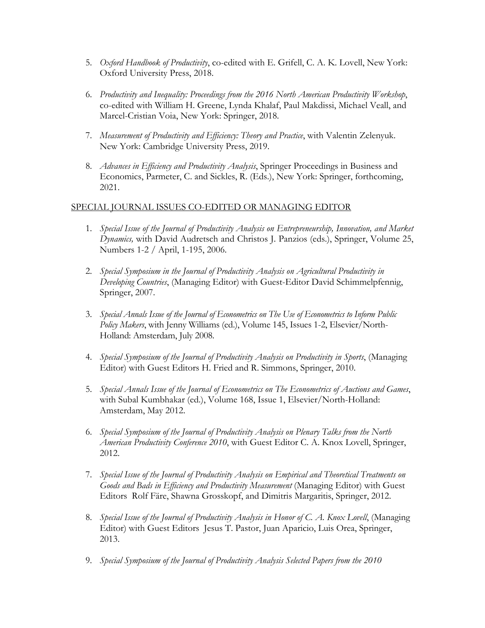- 5. *Oxford Handbook of Productivity*, co-edited with E. Grifell, C. A. K. Lovell, New York: Oxford University Press, 2018.
- 6. *Productivity and Inequality: Proceedings from the 2016 North American Productivity Workshop*, co-edited with William H. Greene, Lynda Khalaf, Paul Makdissi, Michael Veall, and Marcel-Cristian Voia, New York: Springer, 2018.
- 7. *Measurement of Productivity and Efficiency: Theory and Practice*, with Valentin Zelenyuk. New York: Cambridge University Press, 2019.
- 8. *Advances in Efficiency and Productivity Analysis*, Springer Proceedings in Business and Economics, Parmeter, C. and Sickles, R. (Eds.), New York: Springer, forthcoming, 2021.

## SPECIAL JOURNAL ISSUES CO-EDITED OR MANAGING EDITOR

- 1. *Special Issue of the Journal of Productivity Analysis on Entrepreneurship, Innovation, and Market Dynamics,* with David Audretsch and Christos J. Panzios (eds.), Springer, Volume 25, Numbers 1-2 / April, 1-195, 2006.
- 2. *Special Symposium in the Journal of Productivity Analysis on Agricultural Productivity in Developing Countries*, (Managing Editor) with Guest-Editor David Schimmelpfennig, Springer, 2007.
- 3. *Special Annals Issue of the Journal of Econometrics on The Use of Econometrics to Inform Public Policy Makers*, with Jenny Williams (ed.), Volume 145, Issues 1-2, Elsevier/North-Holland: Amsterdam, July 2008.
- 4. *Special Symposium of the Journal of Productivity Analysis on Productivity in Sports*, (Managing Editor) with Guest Editors H. Fried and R. Simmons, Springer, 2010.
- 5. *Special Annals Issue of the Journal of Econometrics on The Econometrics of Auctions and Games*, with Subal Kumbhakar (ed.), Volume 168, Issue 1, Elsevier/North-Holland: Amsterdam, May 2012.
- 6. *Special Symposium of the Journal of Productivity Analysis on Plenary Talks from the North American Productivity Conference 2010*, with Guest Editor C. A. Knox Lovell, Springer, 2012.
- 7. *Special Issue of the Journal of Productivity Analysis on Empirical and Theoretical Treatments on Goods and Bads in Efficiency and Productivity Measurement* (Managing Editor) with Guest Editors Rolf Färe, Shawna Grosskopf, and Dimitris Margaritis, Springer, 2012.
- 8. *Special Issue of the Journal of Productivity Analysis in Honor of C. A. Knox Lovell*, (Managing Editor) with Guest Editors Jesus T. Pastor, Juan Aparicio, Luis Orea, Springer, 2013.
- 9. *Special Symposium of the Journal of Productivity Analysis Selected Papers from the 2010*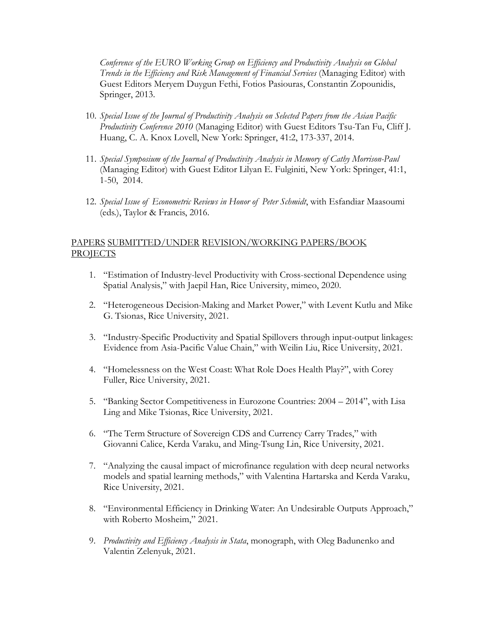*Conference of the EURO Working Group on Efficiency and Productivity Analysis on Global Trends in the Efficiency and Risk Management of Financial Services* (Managing Editor) with Guest Editors Meryem Duygun Fethi, Fotios Pasiouras, Constantin Zopounidis, Springer, 2013.

- 10. *Special Issue of the Journal of Productivity Analysis on Selected Papers from the Asian Pacific Productivity Conference 2010* (Managing Editor) with Guest Editors Tsu-Tan Fu, Cliff J. Huang, C. A. Knox Lovell, New York: Springer, 41:2, 173-337, 2014.
- 11. *Special Symposium of the Journal of Productivity Analysis in Memory of Cathy Morrison-Paul* (Managing Editor) with Guest Editor Lilyan E. Fulginiti, New York: Springer, 41:1, 1-50, 2014.
- 12. *Special Issue of Econometric Reviews in Honor of Peter Schmidt*, with Esfandiar Maasoumi (eds.), Taylor & Francis, 2016.

## PAPERS SUBMITTED/UNDER REVISION/WORKING PAPERS/BOOK PROJECTS

- 1. "Estimation of Industry-level Productivity with Cross-sectional Dependence using Spatial Analysis," with Jaepil Han, Rice University, mimeo, 2020.
- 2. "Heterogeneous Decision-Making and Market Power," with Levent Kutlu and Mike G. Tsionas, Rice University, 2021.
- 3. "Industry-Specific Productivity and Spatial Spillovers through input-output linkages: Evidence from Asia-Pacific Value Chain," with Weilin Liu, Rice University, 2021.
- 4. "Homelessness on the West Coast: What Role Does Health Play?", with Corey Fuller, Rice University, 2021.
- 5. "Banking Sector Competitiveness in Eurozone Countries: 2004 2014", with Lisa Ling and Mike Tsionas, Rice University, 2021.
- 6. "The Term Structure of Sovereign CDS and Currency Carry Trades," with Giovanni Calice, Kerda Varaku, and Ming-Tsung Lin, Rice University, 2021.
- 7. "Analyzing the causal impact of microfinance regulation with deep neural networks models and spatial learning methods," with Valentina Hartarska and Kerda Varaku, Rice University, 2021.
- 8. "Environmental Efficiency in Drinking Water: An Undesirable Outputs Approach," with Roberto Mosheim," 2021.
- 9. *Productivity and Efficiency Analysis in Stata*, monograph, with Oleg Badunenko and Valentin Zelenyuk, 2021.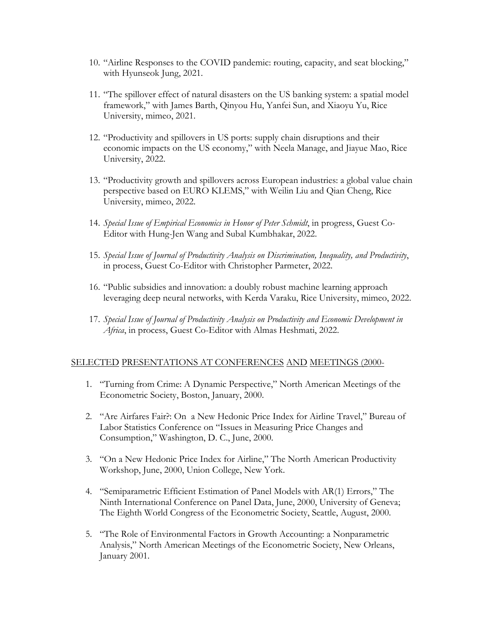- 10. "Airline Responses to the COVID pandemic: routing, capacity, and seat blocking," with Hyunseok Jung, 2021.
- 11. "The spillover effect of natural disasters on the US banking system: a spatial model framework," with James Barth, Qinyou Hu, Yanfei Sun, and Xiaoyu Yu, Rice University, mimeo, 2021.
- 12. "Productivity and spillovers in US ports: supply chain disruptions and their economic impacts on the US economy," with Neela Manage, and Jiayue Mao, Rice University, 2022.
- 13. "Productivity growth and spillovers across European industries: a global value chain perspective based on EURO KLEMS," with Weilin Liu and Qian Cheng, Rice University, mimeo, 2022.
- 14. *Special Issue of Empirical Economics in Honor of Peter Schmidt*, in progress, Guest Co-Editor with Hung-Jen Wang and Subal Kumbhakar, 2022.
- 15. *Special Issue of Journal of Productivity Analysis on Discrimination, Inequality, and Productivity*, in process, Guest Co-Editor with Christopher Parmeter, 2022.
- 16. "Public subsidies and innovation: a doubly robust machine learning approach leveraging deep neural networks, with Kerda Varaku, Rice University, mimeo, 2022.
- 17. *Special Issue of Journal of Productivity Analysis on Productivity and Economic Development in Africa*, in process, Guest Co-Editor with Almas Heshmati, 2022.

## SELECTED PRESENTATIONS AT CONFERENCES AND MEETINGS (2000-

- 1. "Turning from Crime: A Dynamic Perspective," North American Meetings of the Econometric Society, Boston, January, 2000.
- 2. "Are Airfares Fair?: On a New Hedonic Price Index for Airline Travel," Bureau of Labor Statistics Conference on "Issues in Measuring Price Changes and Consumption," Washington, D. C., June, 2000.
- 3. "On a New Hedonic Price Index for Airline," The North American Productivity Workshop, June, 2000, Union College, New York.
- 4. "Semiparametric Efficient Estimation of Panel Models with AR(1) Errors," The Ninth International Conference on Panel Data, June, 2000, University of Geneva; The Eighth World Congress of the Econometric Society, Seattle, August, 2000.
- 5. "The Role of Environmental Factors in Growth Accounting: a Nonparametric Analysis," North American Meetings of the Econometric Society, New Orleans, January 2001.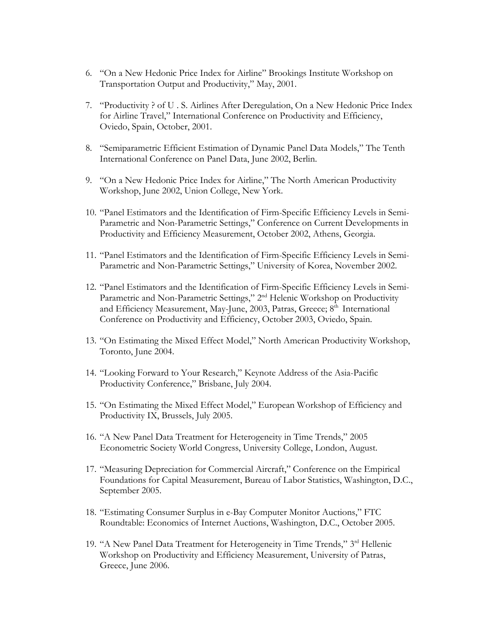- 6. "On a New Hedonic Price Index for Airline" Brookings Institute Workshop on Transportation Output and Productivity," May, 2001.
- 7. "Productivity ? of U . S. Airlines After Deregulation, On a New Hedonic Price Index for Airline Travel," International Conference on Productivity and Efficiency, Oviedo, Spain, October, 2001.
- 8. "Semiparametric Efficient Estimation of Dynamic Panel Data Models," The Tenth International Conference on Panel Data, June 2002, Berlin.
- 9. "On a New Hedonic Price Index for Airline," The North American Productivity Workshop, June 2002, Union College, New York.
- 10. "Panel Estimators and the Identification of Firm-Specific Efficiency Levels in Semi-Parametric and Non-Parametric Settings," Conference on Current Developments in Productivity and Efficiency Measurement, October 2002, Athens, Georgia.
- 11. "Panel Estimators and the Identification of Firm-Specific Efficiency Levels in Semi-Parametric and Non-Parametric Settings," University of Korea, November 2002.
- 12. "Panel Estimators and the Identification of Firm-Specific Efficiency Levels in Semi-Parametric and Non-Parametric Settings," 2<sup>nd</sup> Helenic Workshop on Productivity and Efficiency Measurement, May-June, 2003, Patras, Greece; 8<sup>th</sup> International Conference on Productivity and Efficiency, October 2003, Oviedo, Spain.
- 13. "On Estimating the Mixed Effect Model," North American Productivity Workshop, Toronto, June 2004.
- 14. "Looking Forward to Your Research," Keynote Address of the Asia-Pacific Productivity Conference," Brisbane, July 2004.
- 15. "On Estimating the Mixed Effect Model," European Workshop of Efficiency and Productivity IX, Brussels, July 2005.
- 16. "A New Panel Data Treatment for Heterogeneity in Time Trends," 2005 Econometric Society World Congress, University College, London, August.
- 17. "Measuring Depreciation for Commercial Aircraft," Conference on the Empirical Foundations for Capital Measurement, Bureau of Labor Statistics, Washington, D.C., September 2005.
- 18. "Estimating Consumer Surplus in e-Bay Computer Monitor Auctions," FTC Roundtable: Economics of Internet Auctions, Washington, D.C., October 2005.
- 19. "A New Panel Data Treatment for Heterogeneity in Time Trends," 3<sup>rd</sup> Hellenic Workshop on Productivity and Efficiency Measurement, University of Patras, Greece, June 2006.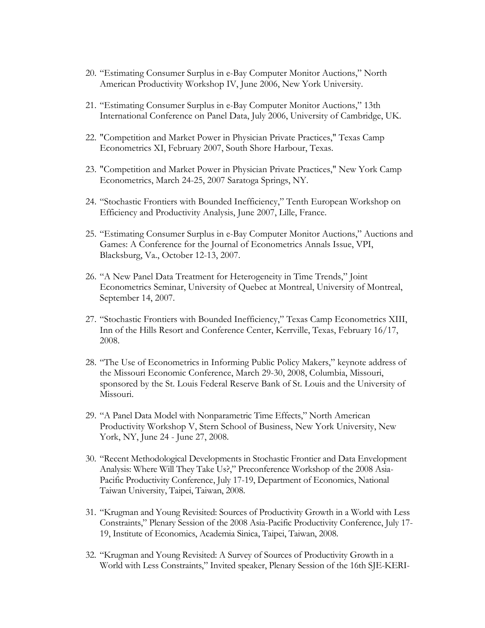- 20. "Estimating Consumer Surplus in e-Bay Computer Monitor Auctions," North American Productivity Workshop IV, June 2006, New York University.
- 21. "Estimating Consumer Surplus in e-Bay Computer Monitor Auctions," 13th International Conference on Panel Data, July 2006, University of Cambridge, UK.
- 22. "Competition and Market Power in Physician Private Practices," Texas Camp Econometrics XI, February 2007, South Shore Harbour, Texas.
- 23. "Competition and Market Power in Physician Private Practices," New York Camp Econometrics, March 24-25, 2007 Saratoga Springs, NY.
- 24. "Stochastic Frontiers with Bounded Inefficiency," Tenth European Workshop on Efficiency and Productivity Analysis, June 2007, Lille, France.
- 25. "Estimating Consumer Surplus in e-Bay Computer Monitor Auctions," Auctions and Games: A Conference for the Journal of Econometrics Annals Issue, VPI, Blacksburg, Va., October 12-13, 2007.
- 26. "A New Panel Data Treatment for Heterogeneity in Time Trends," Joint Econometrics Seminar, University of Quebec at Montreal, University of Montreal, September 14, 2007.
- 27. "Stochastic Frontiers with Bounded Inefficiency," Texas Camp Econometrics XIII, Inn of the Hills Resort and Conference Center, Kerrville, Texas, February 16/17, 2008.
- 28. "The Use of Econometrics in Informing Public Policy Makers," keynote address of the Missouri Economic Conference, March 29-30, 2008, Columbia, Missouri, sponsored by the St. Louis Federal Reserve Bank of St. Louis and the University of Missouri.
- 29. "A Panel Data Model with Nonparametric Time Effects," North American Productivity Workshop V, Stern School of Business, New York University, New York, NY, June 24 - June 27, 2008.
- 30. "Recent Methodological Developments in Stochastic Frontier and Data Envelopment Analysis: Where Will They Take Us?," Preconference Workshop of the 2008 Asia-Pacific Productivity Conference, July 17-19, Department of Economics, National Taiwan University, Taipei, Taiwan, 2008.
- 31. "Krugman and Young Revisited: Sources of Productivity Growth in a World with Less Constraints," Plenary Session of the 2008 Asia-Pacific Productivity Conference, July 17- 19, Institute of Economics, Academia Sinica, Taipei, Taiwan, 2008.
- 32. "Krugman and Young Revisited: A Survey of Sources of Productivity Growth in a World with Less Constraints," Invited speaker, Plenary Session of the 16th SJE-KERI-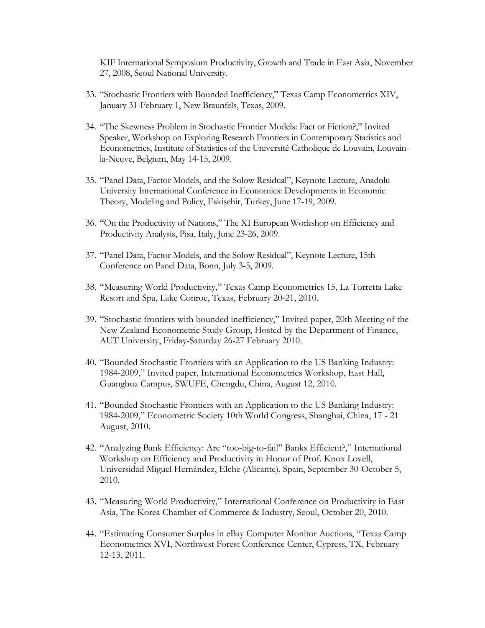KIF International Symposium Productivity, Growth and Trade in East Asia, November 27, 2008, Seoul National University.

- 33. "Stochastic Frontiers with Bounded Inefficiency," Texas Camp Econometrics XIV, January 31-February 1, New Braunfels, Texas, 2009.
- 34. "The Skewness Problem in Stochastic Frontier Models: Fact or Fiction?," Invited Speaker, Workshop on Exploring Research Frontiers in Contemporary Statistics and Econometrics, Institute of Statistics of the Université Catholique de Louvain, Louvainla-Neuve, Belgium, May 14-15, 2009.
- 35. "Panel Data, Factor Models, and the Solow Residual", Keynote Lecture, Anadolu University International Conference in Economics: Developments in Economic Theory, Modeling and Policy, Eskişehir, Turkey, June 17-19, 2009.
- 36. "On the Productivity of Nations," The XI European Workshop on Efficiency and Productivity Analysis, Pisa, Italy, June 23-26, 2009.
- 37. "Panel Data, Factor Models, and the Solow Residual", Keynote Lecture, 15th Conference on Panel Data, Bonn, July 3-5, 2009.
- 38. "Measuring World Productivity," Texas Camp Econometrics 15, La Torretta Lake Resort and Spa, Lake Conroe, Texas, February 20-21, 2010.
- 39. "Stochastic frontiers with bounded inefficiency," Invited paper, 20th Meeting of the New Zealand Econometric Study Group, Hosted by the Department of Finance, AUT University, Friday-Saturday 26-27 February 2010.
- 40. "Bounded Stochastic Frontiers with an Application to the US Banking Industry: 1984-2009," Invited paper, International Econometrics Workshop, East Hall, Guanghua Campus, SWUFE, Chengdu, China, August 12, 2010.
- 41. "Bounded Stochastic Frontiers with an Application to the US Banking Industry: 1984-2009," Econometric Society 10th World Congress, Shanghai, China, 17 - 21 August, 2010.
- 42. "Analyzing Bank Efficiency: Are "too-big-to-fail" Banks Efficient?," International Workshop on Efficiency and Productivity in Honor of Prof. Knox Lovell, Universidad Miguel Hernández, Elche (Alicante), Spain, September 30-October 5, 2010.
- 43. "Measuring World Productivity," International Conference on Productivity in East Asia, The Korea Chamber of Commerce & Industry, Seoul, October 20, 2010.
- 44. "Estimating Consumer Surplus in eBay Computer Monitor Auctions, "Texas Camp Econometrics XVI, Northwest Forest Conference Center, Cypress, TX, February 12-13, 2011.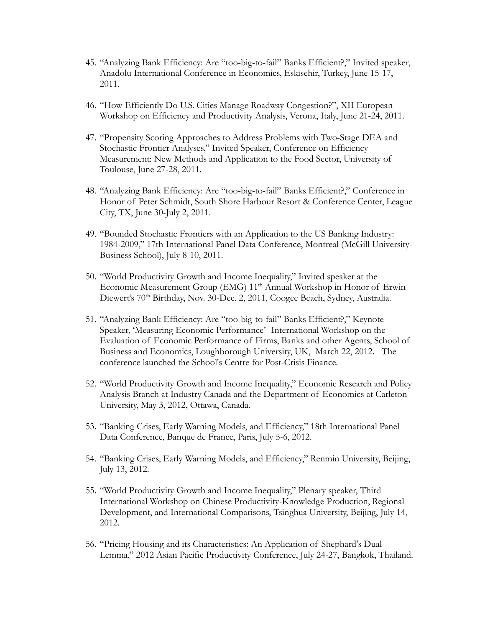- 45. "Analyzing Bank Efficiency: Are "too-big-to-fail" Banks Efficient?," Invited speaker, Anadolu International Conference in Economics, Eskisehir, Turkey, June 15-17, 2011.
- 46. "How Efficiently Do U.S. Cities Manage Roadway Congestion?", XII European Workshop on Efficiency and Productivity Analysis, Verona, Italy, June 21-24, 2011.
- 47. "Propensity Scoring Approaches to Address Problems with Two-Stage DEA and Stochastic Frontier Analyses," Invited Speaker, Conference on Efficiency Measurement: New Methods and Application to the Food Sector, University of Toulouse, June 27-28, 2011.
- 48. "Analyzing Bank Efficiency: Are "too-big-to-fail" Banks Efficient?," Conference in Honor of Peter Schmidt, South Shore Harbour Resort & Conference Center, League City, TX, June 30-July 2, 2011.
- 49. "Bounded Stochastic Frontiers with an Application to the US Banking Industry: 1984-2009," 17th International Panel Data Conference, Montreal (McGill University-Business School), July 8-10, 2011.
- 50. "World Productivity Growth and Income Inequality," Invited speaker at the Economic Measurement Group (EMG) 11<sup>th</sup> Annual Workshop in Honor of Erwin Diewert's 70<sup>th</sup> Birthday, Nov. 30-Dec. 2, 2011, Coogee Beach, Sydney, Australia.
- 51. "Analyzing Bank Efficiency: Are "too-big-to-fail" Banks Efficient?," Keynote Speaker, 'Measuring Economic Performance'- International Workshop on the Evaluation of Economic Performance of Firms, Banks and other Agents, School of Business and Economics, Loughborough University, UK, March 22, 2012. The conference launched the School's Centre for Post-Crisis Finance.
- 52. "World Productivity Growth and Income Inequality," Economic Research and Policy Analysis Branch at Industry Canada and the Department of Economics at Carleton University, May 3, 2012, Ottawa, Canada.
- 53. "Banking Crises, Early Warning Models, and Efficiency," 18th International Panel Data Conference, Banque de France, Paris, July 5-6, 2012.
- 54. "Banking Crises, Early Warning Models, and Efficiency," Renmin University, Beijing, July 13, 2012.
- 55. "World Productivity Growth and Income Inequality," Plenary speaker, Third International Workshop on Chinese Productivity-Knowledge Production, Regional Development, and International Comparisons, Tsinghua University, Beijing, July 14, 2012.
- 56. "Pricing Housing and its Characteristics: An Application of Shephard's Dual Lemma," 2012 Asian Pacific Productivity Conference, July 24-27, Bangkok, Thailand.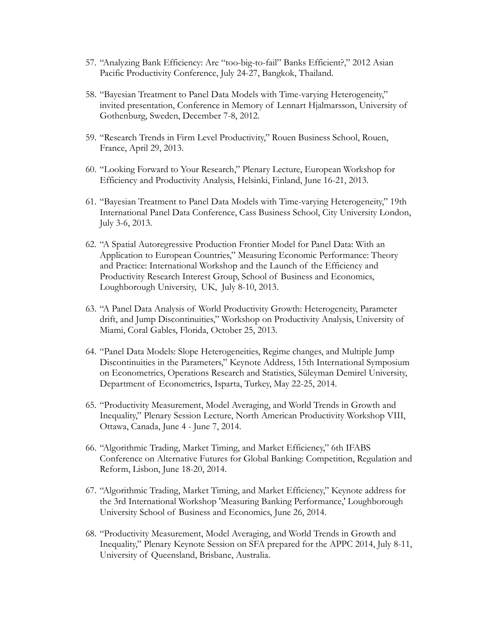- 57. "Analyzing Bank Efficiency: Are "too-big-to-fail" Banks Efficient?," 2012 Asian Pacific Productivity Conference, July 24-27, Bangkok, Thailand.
- 58. "Bayesian Treatment to Panel Data Models with Time-varying Heterogeneity," invited presentation, Conference in Memory of Lennart Hjalmarsson, University of Gothenburg, Sweden, December 7-8, 2012.
- 59. "Research Trends in Firm Level Productivity," Rouen Business School, Rouen, France, April 29, 2013.
- 60. "Looking Forward to Your Research," Plenary Lecture, European Workshop for Efficiency and Productivity Analysis, Helsinki, Finland, June 16-21, 2013.
- 61. "Bayesian Treatment to Panel Data Models with Time-varying Heterogeneity," 19th International Panel Data Conference, Cass Business School, City University London, July 3-6, 2013.
- 62. "A Spatial Autoregressive Production Frontier Model for Panel Data: With an Application to European Countries," Measuring Economic Performance: Theory and Practice: International Workshop and the Launch of the Efficiency and Productivity Research Interest Group, School of Business and Economics, Loughborough University, UK, July 8-10, 2013.
- 63. "A Panel Data Analysis of World Productivity Growth: Heterogeneity, Parameter drift, and Jump Discontinuities," Workshop on Productivity Analysis, University of Miami, Coral Gables, Florida, October 25, 2013.
- 64. "Panel Data Models: Slope Heterogeneities, Regime changes, and Multiple Jump Discontinuities in the Parameters," Keynote Address, 15th International Symposium on Econometrics, Operations Research and Statistics, Süleyman Demirel University, Department of Econometrics, Isparta, Turkey, May 22-25, 2014.
- 65. "Productivity Measurement, Model Averaging, and World Trends in Growth and Inequality," Plenary Session Lecture, North American Productivity Workshop VIII, Ottawa, Canada, June 4 - June 7, 2014.
- 66. "Algorithmic Trading, Market Timing, and Market Efficiency," 6th IFABS Conference on Alternative Futures for Global Banking: Competition, Regulation and Reform, Lisbon, June 18-20, 2014.
- 67. "Algorithmic Trading, Market Timing, and Market Efficiency," Keynote address for the 3rd International Workshop 'Measuring Banking Performance,' Loughborough University School of Business and Economics, June 26, 2014.
- 68. "Productivity Measurement, Model Averaging, and World Trends in Growth and Inequality," Plenary Keynote Session on SFA prepared for the APPC 2014, July 8-11, University of Queensland, Brisbane, Australia.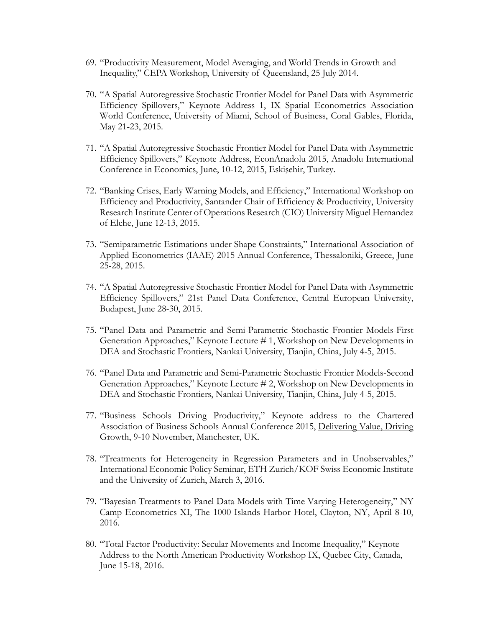- 69. "Productivity Measurement, Model Averaging, and World Trends in Growth and Inequality," CEPA Workshop, University of Queensland, 25 July 2014.
- 70. "A Spatial Autoregressive Stochastic Frontier Model for Panel Data with Asymmetric Efficiency Spillovers," Keynote Address 1, IX Spatial Econometrics Association World Conference, University of Miami, School of Business, Coral Gables, Florida, May 21-23, 2015.
- 71. "A Spatial Autoregressive Stochastic Frontier Model for Panel Data with Asymmetric Efficiency Spillovers," Keynote Address, EconAnadolu 2015, Anadolu International Conference in Economics, June, 10-12, 2015, Eskişehir, Turkey.
- 72. "Banking Crises, Early Warning Models, and Efficiency," International Workshop on Efficiency and Productivity, Santander Chair of Efficiency & Productivity, University Research Institute Center of Operations Research (CIO) University Miguel Hernandez of Elche, June 12-13, 2015.
- 73. "Semiparametric Estimations under Shape Constraints," International Association of Applied Econometrics (IAAE) 2015 Annual Conference, Thessaloniki, Greece, June 25-28, 2015.
- 74. "A Spatial Autoregressive Stochastic Frontier Model for Panel Data with Asymmetric Efficiency Spillovers," 21st Panel Data Conference, Central European University, Budapest, June 28-30, 2015.
- 75. "Panel Data and Parametric and Semi-Parametric Stochastic Frontier Models-First Generation Approaches," Keynote Lecture # 1, Workshop on New Developments in DEA and Stochastic Frontiers, Nankai University, Tianjin, China, July 4-5, 2015.
- 76. "Panel Data and Parametric and Semi-Parametric Stochastic Frontier Models-Second Generation Approaches," Keynote Lecture # 2, Workshop on New Developments in DEA and Stochastic Frontiers, Nankai University, Tianjin, China, July 4-5, 2015.
- 77. "Business Schools Driving Productivity," Keynote address to the Chartered Association of Business Schools Annual Conference 2015, Delivering Value, Driving Growth, 9-10 November, Manchester, UK.
- 78. "Treatments for Heterogeneity in Regression Parameters and in Unobservables," International Economic Policy Seminar, ETH Zurich/KOF Swiss Economic Institute and the University of Zurich, March 3, 2016.
- 79. "Bayesian Treatments to Panel Data Models with Time Varying Heterogeneity," NY Camp Econometrics XI, The 1000 Islands Harbor Hotel, Clayton, NY, April 8-10, 2016.
- 80. "Total Factor Productivity: Secular Movements and Income Inequality," Keynote Address to the North American Productivity Workshop IX, Quebec City, Canada, June 15-18, 2016.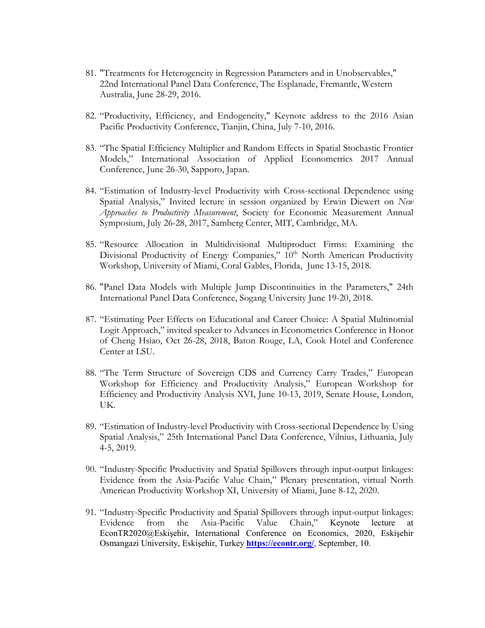- 81. "Treatments for Heterogeneity in Regression Parameters and in Unobservables," 22nd International Panel Data Conference, The Esplanade, Fremantle, Western Australia, June 28-29, 2016.
- 82. "Productivity, Efficiency, and Endogeneity," Keynote address to the 2016 Asian Pacific Productivity Conference, Tianjin, China, July 7-10, 2016.
- 83. "The Spatial Efficiency Multiplier and Random Effects in Spatial Stochastic Frontier Models," International Association of Applied Econometrics 2017 Annual Conference, June 26-30, Sapporo, Japan.
- 84. "Estimation of Industry-level Productivity with Cross-sectional Dependence using Spatial Analysis," Invited lecture in session organized by Erwin Diewert on *New Approaches to Productivity Measurement*, Society for Economic Measurement Annual Symposium, July 26-28, 2017, Samberg Center, MIT, Cambridge, MA.
- 85. "Resource Allocation in Multidivisional Multiproduct Firms: Examining the Divisional Productivity of Energy Companies," 10<sup>th</sup> North American Productivity Workshop, University of Miami, Coral Gables, Florida, June 13-15, 2018.
- 86. "Panel Data Models with Multiple Jump Discontinuities in the Parameters," 24th International Panel Data Conference, Sogang University June 19-20, 2018.
- 87. "Estimating Peer Effects on Educational and Career Choice: A Spatial Multinomial Logit Approach," invited speaker to Advances in Econometrics Conference in Honor of Cheng Hsiao, Oct 26-28, 2018, Baton Rouge, LA, Cook Hotel and Conference Center at LSU.
- 88. "The Term Structure of Sovereign CDS and Currency Carry Trades," European Workshop for Efficiency and Productivity Analysis," European Workshop for Efficiency and Productivity Analysis XVI, June 10-13, 2019, Senate House, London, UK.
- 89. "Estimation of Industry-level Productivity with Cross-sectional Dependence by Using Spatial Analysis," 25th International Panel Data Conference, Vilnius, Lithuania, July 4-5, 2019.
- 90. "Industry-Specific Productivity and Spatial Spillovers through input-output linkages: Evidence from the Asia-Pacific Value Chain," Plenary presentation, virtual North American Productivity Workshop XI, University of Miami, June 8-12, 2020.
- 91. "Industry-Specific Productivity and Spatial Spillovers through input-output linkages: Evidence from the Asia-Pacific Value Chain," Keynote lecture at EconTR2020@Eskişehir**,** International Conference on Economics, 2020, Eskişehir Osmangazi University, Eskişehir, Turkey **<https://econtr.org/>**, September, 10.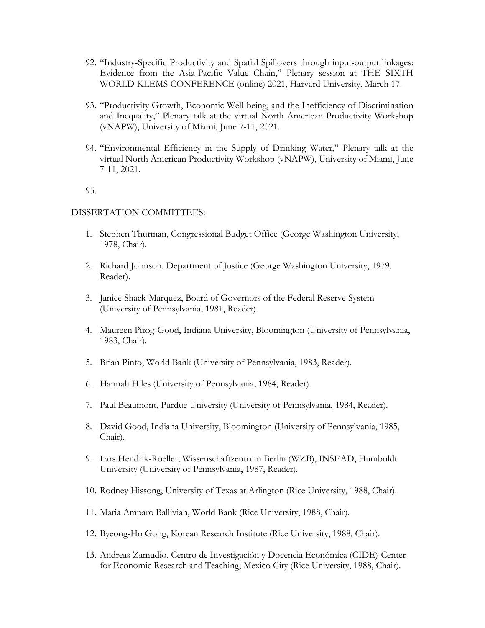- 92. "Industry-Specific Productivity and Spatial Spillovers through input-output linkages: Evidence from the Asia-Pacific Value Chain," Plenary session at THE SIXTH WORLD KLEMS CONFERENCE (online) 2021, Harvard University, March 17.
- 93. "Productivity Growth, Economic Well-being, and the Inefficiency of Discrimination and Inequality," Plenary talk at the virtual North American Productivity Workshop (vNAPW), University of Miami, June 7-11, 2021.
- 94. "Environmental Efficiency in the Supply of Drinking Water," Plenary talk at the virtual North American Productivity Workshop (vNAPW), University of Miami, June 7-11, 2021.

95.

#### DISSERTATION COMMITTEES:

- 1. Stephen Thurman, Congressional Budget Office (George Washington University, 1978, Chair).
- 2. Richard Johnson, Department of Justice (George Washington University, 1979, Reader).
- 3. Janice Shack-Marquez, Board of Governors of the Federal Reserve System (University of Pennsylvania, 1981, Reader).
- 4. Maureen Pirog-Good, Indiana University, Bloomington (University of Pennsylvania, 1983, Chair).
- 5. Brian Pinto, World Bank (University of Pennsylvania, 1983, Reader).
- 6. Hannah Hiles (University of Pennsylvania, 1984, Reader).
- 7. Paul Beaumont, Purdue University (University of Pennsylvania, 1984, Reader).
- 8. David Good, Indiana University, Bloomington (University of Pennsylvania, 1985, Chair).
- 9. Lars Hendrik-Roeller, Wissenschaftzentrum Berlin (WZB), INSEAD, Humboldt University (University of Pennsylvania, 1987, Reader).
- 10. Rodney Hissong, University of Texas at Arlington (Rice University, 1988, Chair).
- 11. Maria Amparo Ballivian, World Bank (Rice University, 1988, Chair).
- 12. Byeong-Ho Gong, Korean Research Institute (Rice University, 1988, Chair).
- 13. Andreas Zamudio, Centro de Investigación y Docencia Económica (CIDE)-Center for Economic Research and Teaching, Mexico City (Rice University, 1988, Chair).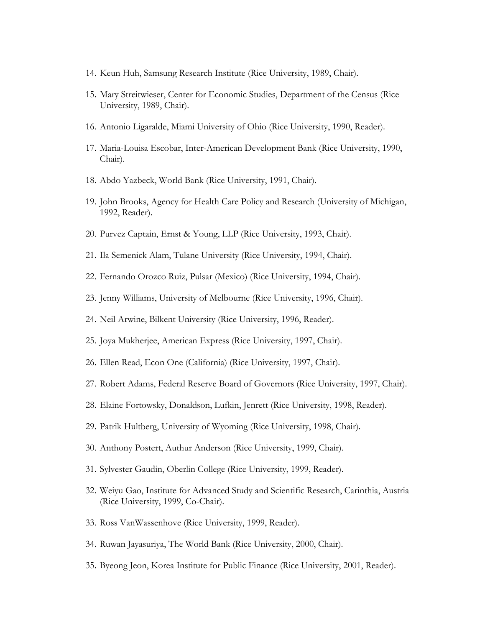- 14. Keun Huh, Samsung Research Institute (Rice University, 1989, Chair).
- 15. Mary Streitwieser, Center for Economic Studies, Department of the Census (Rice University, 1989, Chair).
- 16. Antonio Ligaralde, Miami University of Ohio (Rice University, 1990, Reader).
- 17. Maria-Louisa Escobar, Inter-American Development Bank (Rice University, 1990, Chair).
- 18. Abdo Yazbeck, World Bank (Rice University, 1991, Chair).
- 19. John Brooks, Agency for Health Care Policy and Research (University of Michigan, 1992, Reader).
- 20. Purvez Captain, Ernst & Young, LLP (Rice University, 1993, Chair).
- 21. Ila Semenick Alam, Tulane University (Rice University, 1994, Chair).
- 22. Fernando Orozco Ruiz, Pulsar (Mexico) (Rice University, 1994, Chair).
- 23. Jenny Williams, University of Melbourne (Rice University, 1996, Chair).
- 24. Neil Arwine, Bilkent University (Rice University, 1996, Reader).
- 25. Joya Mukherjee, American Express (Rice University, 1997, Chair).
- 26. Ellen Read, Econ One (California) (Rice University, 1997, Chair).
- 27. Robert Adams, Federal Reserve Board of Governors (Rice University, 1997, Chair).
- 28. Elaine Fortowsky, Donaldson, Lufkin, Jenrett (Rice University, 1998, Reader).
- 29. Patrik Hultberg, University of Wyoming (Rice University, 1998, Chair).
- 30. Anthony Postert, Authur Anderson (Rice University, 1999, Chair).
- 31. Sylvester Gaudin, Oberlin College (Rice University, 1999, Reader).
- 32. Weiyu Gao, Institute for Advanced Study and Scientific Research, Carinthia, Austria (Rice University, 1999, Co-Chair).
- 33. Ross VanWassenhove (Rice University, 1999, Reader).
- 34. Ruwan Jayasuriya, The World Bank (Rice University, 2000, Chair).
- 35. Byeong Jeon, Korea Institute for Public Finance (Rice University, 2001, Reader).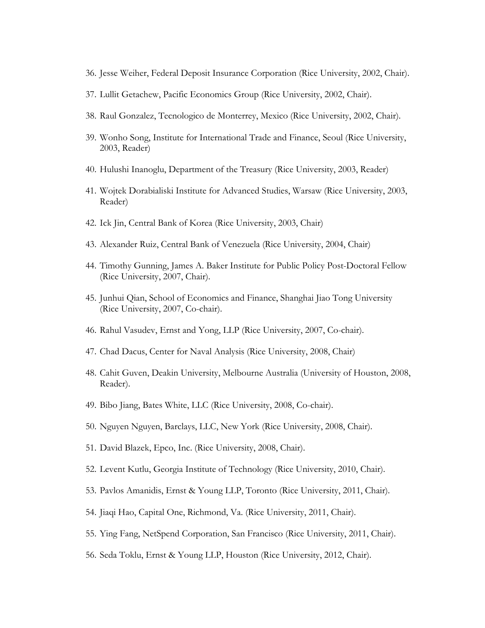- 36. Jesse Weiher, Federal Deposit Insurance Corporation (Rice University, 2002, Chair).
- 37. Lullit Getachew, Pacific Economics Group (Rice University, 2002, Chair).
- 38. Raul Gonzalez, Tecnologico de Monterrey, Mexico (Rice University, 2002, Chair).
- 39. Wonho Song, Institute for International Trade and Finance, Seoul (Rice University, 2003, Reader)
- 40. Hulushi Inanoglu, Department of the Treasury (Rice University, 2003, Reader)
- 41. Wojtek Dorabialiski Institute for Advanced Studies, Warsaw (Rice University, 2003, Reader)
- 42. Ick Jin, Central Bank of Korea (Rice University, 2003, Chair)
- 43. Alexander Ruiz, Central Bank of Venezuela (Rice University, 2004, Chair)
- 44. Timothy Gunning, James A. Baker Institute for Public Policy Post-Doctoral Fellow (Rice University, 2007, Chair).
- 45. Junhui Qian, School of Economics and Finance, Shanghai Jiao Tong University (Rice University, 2007, Co-chair).
- 46. Rahul Vasudev, Ernst and Yong, LLP (Rice University, 2007, Co-chair).
- 47. Chad Dacus, Center for Naval Analysis (Rice University, 2008, Chair)
- 48. Cahit Guven, Deakin University, Melbourne Australia (University of Houston, 2008, Reader).
- 49. Bibo Jiang, Bates White, LLC (Rice University, 2008, Co-chair).
- 50. Nguyen Nguyen, Barclays, LLC, New York (Rice University, 2008, Chair).
- 51. David Blazek, Epco, Inc. (Rice University, 2008, Chair).
- 52. Levent Kutlu, Georgia Institute of Technology (Rice University, 2010, Chair).
- 53. Pavlos Amanidis, Ernst & Young LLP, Toronto (Rice University, 2011, Chair).
- 54. Jiaqi Hao, Capital One, Richmond, Va. (Rice University, 2011, Chair).
- 55. Ying Fang, NetSpend Corporation, San Francisco (Rice University, 2011, Chair).
- 56. Seda Toklu, Ernst & Young LLP, Houston (Rice University, 2012, Chair).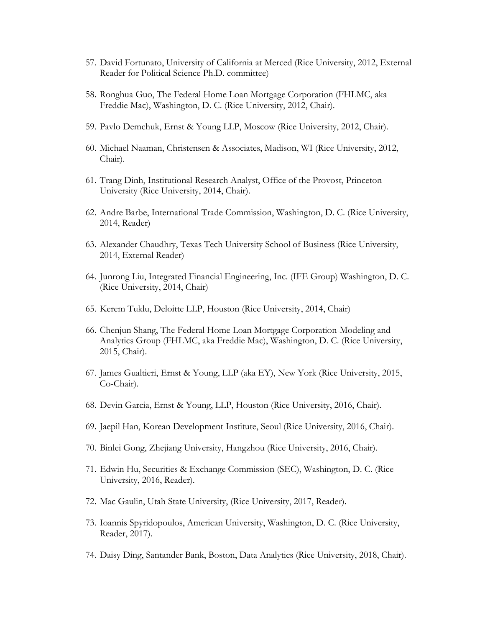- 57. David Fortunato, University of California at Merced (Rice University, 2012, External Reader for Political Science Ph.D. committee)
- 58. Ronghua Guo, The Federal Home Loan Mortgage Corporation (FHLMC, aka Freddie Mac), Washington, D. C. (Rice University, 2012, Chair).
- 59. Pavlo Demchuk, Ernst & Young LLP, Moscow (Rice University, 2012, Chair).
- 60. Michael Naaman, Christensen & Associates, Madison, WI (Rice University, 2012, Chair).
- 61. Trang Dinh, Institutional Research Analyst, Office of the Provost, Princeton University (Rice University, 2014, Chair).
- 62. Andre Barbe, International Trade Commission, Washington, D. C. (Rice University, 2014, Reader)
- 63. Alexander Chaudhry, Texas Tech University School of Business (Rice University, 2014, External Reader)
- 64. Junrong Liu, Integrated Financial Engineering, Inc. (IFE Group) Washington, D. C. (Rice University, 2014, Chair)
- 65. Kerem Tuklu, Deloitte LLP, Houston (Rice University, 2014, Chair)
- 66. Chenjun Shang, The Federal Home Loan Mortgage Corporation-Modeling and Analytics Group (FHLMC, aka Freddie Mac), Washington, D. C. (Rice University, 2015, Chair).
- 67. James Gualtieri, Ernst & Young, LLP (aka EY), New York (Rice University, 2015, Co-Chair).
- 68. Devin Garcia, Ernst & Young, LLP, Houston (Rice University, 2016, Chair).
- 69. Jaepil Han, Korean Development Institute, Seoul (Rice University, 2016, Chair).
- 70. Binlei Gong, Zhejiang University, Hangzhou (Rice University, 2016, Chair).
- 71. Edwin Hu, Securities & Exchange Commission (SEC), Washington, D. C. (Rice University, 2016, Reader).
- 72. Mac Gaulin, Utah State University, (Rice University, 2017, Reader).
- 73. Ioannis Spyridopoulos, American University, Washington, D. C. (Rice University, Reader, 2017).
- 74. Daisy Ding, Santander Bank, Boston, Data Analytics (Rice University, 2018, Chair).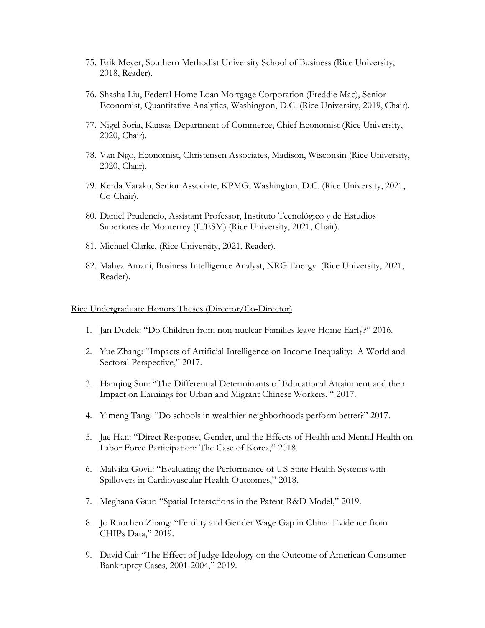- 75. Erik Meyer, Southern Methodist University School of Business (Rice University, 2018, Reader).
- 76. Shasha Liu, Federal Home Loan Mortgage Corporation (Freddie Mac), Senior Economist, Quantitative Analytics, Washington, D.C. (Rice University, 2019, Chair).
- 77. Nigel Soria, Kansas Department of Commerce, Chief Economist (Rice University, 2020, Chair).
- 78. Van Ngo, Economist, Christensen Associates, Madison, Wisconsin (Rice University, 2020, Chair).
- 79. Kerda Varaku, Senior Associate, KPMG, Washington, D.C. (Rice University, 2021, Co-Chair).
- 80. Daniel Prudencio, Assistant Professor, Instituto Tecnológico y de Estudios Superiores de Monterrey (ITESM) (Rice University, 2021, Chair).
- 81. Michael Clarke, (Rice University, 2021, Reader).
- 82. Mahya Amani, Business Intelligence Analyst, NRG Energy (Rice University, 2021, Reader).

#### Rice Undergraduate Honors Theses (Director/Co-Director)

- 1. Jan Dudek: "Do Children from non-nuclear Families leave Home Early?" 2016.
- 2. Yue Zhang: "Impacts of Artificial Intelligence on Income Inequality: A World and Sectoral Perspective," 2017.
- 3. Hanqing Sun: "The Differential Determinants of Educational Attainment and their Impact on Earnings for Urban and Migrant Chinese Workers. " 2017.
- 4. Yimeng Tang: "Do schools in wealthier neighborhoods perform better?" 2017.
- 5. Jae Han: "Direct Response, Gender, and the Effects of Health and Mental Health on Labor Force Participation: The Case of Korea," 2018.
- 6. Malvika Govil: "Evaluating the Performance of US State Health Systems with Spillovers in Cardiovascular Health Outcomes," 2018.
- 7. Meghana Gaur: "Spatial Interactions in the Patent-R&D Model," 2019.
- 8. Jo Ruochen Zhang: "Fertility and Gender Wage Gap in China: Evidence from CHIPs Data," 2019.
- 9. David Cai: "The Effect of Judge Ideology on the Outcome of American Consumer Bankruptcy Cases, 2001-2004," 2019.